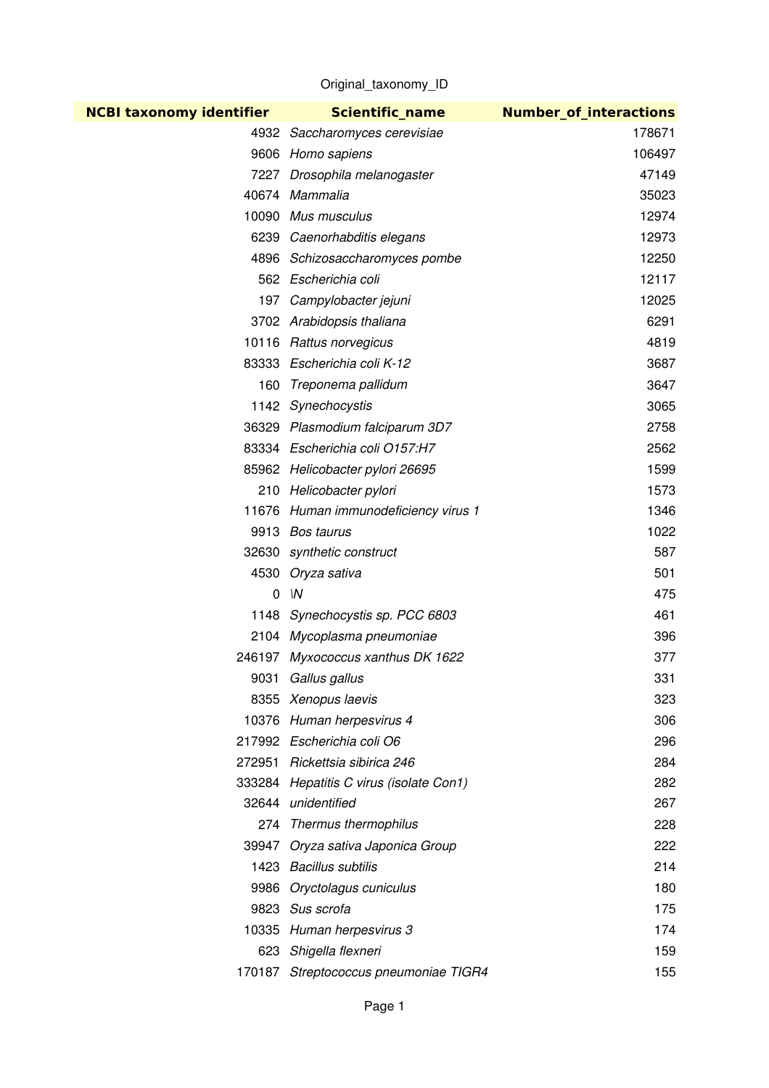Original\_taxonomy\_ID

| <b>NCBI taxonomy identifier</b> | <b>Scientific name</b>                  | <b>Number_of_interactions</b> |
|---------------------------------|-----------------------------------------|-------------------------------|
|                                 | 4932 Saccharomyces cerevisiae           | 178671                        |
|                                 | 9606 Homo sapiens                       | 106497                        |
|                                 | 7227 Drosophila melanogaster            | 47149                         |
|                                 | 40674 Mammalia                          | 35023                         |
|                                 | 10090 Mus musculus                      | 12974                         |
|                                 | 6239 Caenorhabditis elegans             | 12973                         |
|                                 | 4896 Schizosaccharomyces pombe          | 12250                         |
|                                 | 562 Escherichia coli                    | 12117                         |
|                                 | 197 Campylobacter jejuni                | 12025                         |
|                                 | 3702 Arabidopsis thaliana               | 6291                          |
|                                 | 10116 Rattus norvegicus                 | 4819                          |
|                                 | 83333 Escherichia coli K-12             | 3687                          |
| 160                             | Treponema pallidum                      | 3647                          |
|                                 | 1142 Synechocystis                      | 3065                          |
|                                 | 36329 Plasmodium falciparum 3D7         | 2758                          |
|                                 | 83334 Escherichia coli O157:H7          | 2562                          |
|                                 | 85962 Helicobacter pylori 26695         | 1599                          |
|                                 | 210 Helicobacter pylori                 | 1573                          |
|                                 | 11676 Human immunodeficiency virus 1    | 1346                          |
|                                 | 9913 Bos taurus                         | 1022                          |
|                                 | 32630 synthetic construct               | 587                           |
|                                 | 4530 Oryza sativa                       | 501                           |
| 0                               | ۱N                                      | 475                           |
|                                 | 1148 Synechocystis sp. PCC 6803         | 461                           |
|                                 | 2104 Mycoplasma pneumoniae              | 396                           |
|                                 | 246197 Myxococcus xanthus DK 1622       | 377                           |
| 9031                            | Gallus gallus                           | 331                           |
|                                 | 8355 Xenopus laevis                     | 323                           |
|                                 | 10376 Human herpesvirus 4               | 306                           |
|                                 | 217992 Escherichia coli O6              | 296                           |
|                                 | 272951 Rickettsia sibirica 246          | 284                           |
|                                 | 333284 Hepatitis C virus (isolate Con1) | 282                           |
|                                 | 32644 unidentified                      | 267                           |
|                                 | 274 Thermus thermophilus                | 228                           |
|                                 | 39947 Oryza sativa Japonica Group       | 222                           |
|                                 | 1423 Bacillus subtilis                  | 214                           |
|                                 | 9986 Oryctolagus cuniculus              | 180                           |
|                                 | 9823 Sus scrofa                         | 175                           |
|                                 | 10335 Human herpesvirus 3               | 174                           |
| 623                             | Shigella flexneri                       | 159                           |
|                                 | 170187 Streptococcus pneumoniae TIGR4   | 155                           |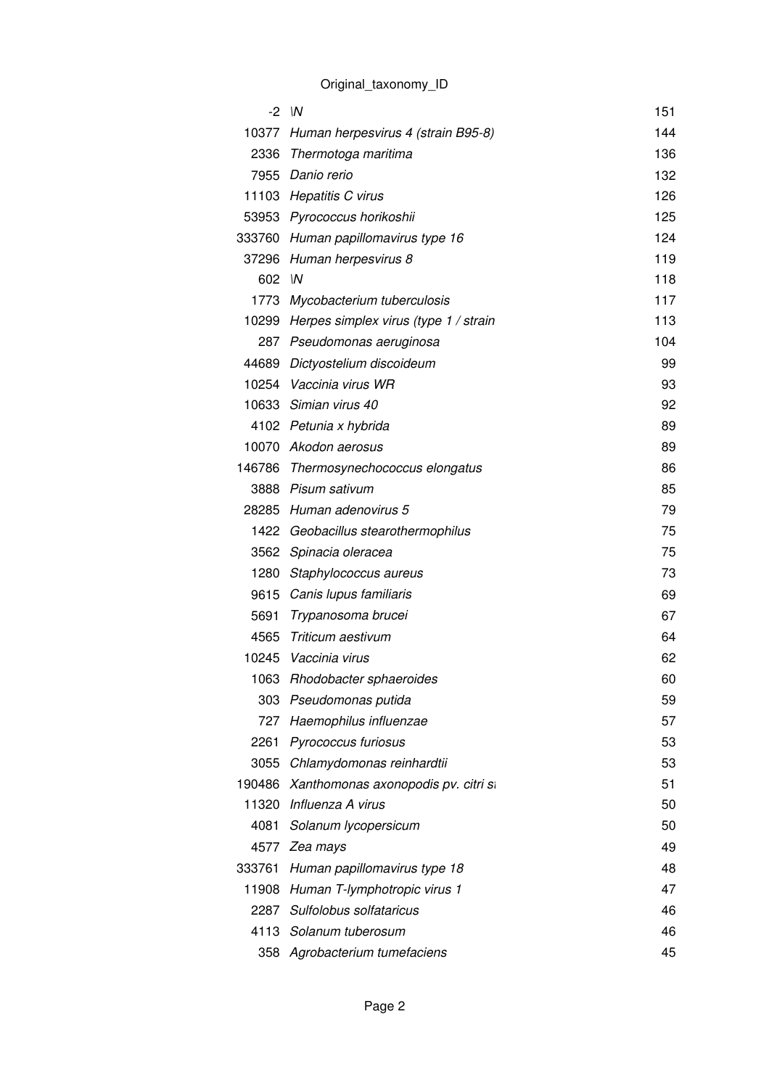|        | $-2$ $\sqrt{N}$                             | 151 |
|--------|---------------------------------------------|-----|
| 10377  | Human herpesvirus 4 (strain B95-8)          | 144 |
|        | 2336 Thermotoga maritima                    | 136 |
|        | 7955 Danio rerio                            | 132 |
|        | 11103 Hepatitis C virus                     | 126 |
|        | 53953 Pyrococcus horikoshii                 | 125 |
|        | 333760 Human papillomavirus type 16         | 124 |
|        | 37296 Human herpesvirus 8                   | 119 |
| 602 IN |                                             | 118 |
|        | 1773 Mycobacterium tuberculosis             | 117 |
|        | 10299 Herpes simplex virus (type 1 / strain | 113 |
|        | 287 Pseudomonas aeruginosa                  | 104 |
|        | 44689 Dictyostelium discoideum              | 99  |
|        | 10254 Vaccinia virus WR                     | 93  |
|        | 10633 Simian virus 40                       | 92  |
|        | 4102 Petunia x hybrida                      | 89  |
|        | 10070 Akodon aerosus                        | 89  |
|        | 146786 Thermosynechococcus elongatus        | 86  |
|        | 3888 Pisum sativum                          | 85  |
|        | 28285 Human adenovirus 5                    | 79  |
|        | 1422 Geobacillus stearothermophilus         | 75  |
| 3562   | Spinacia oleracea                           | 75  |
|        | 1280 Staphylococcus aureus                  | 73  |
|        | 9615 Canis lupus familiaris                 | 69  |
| 5691   | Trypanosoma brucei                          | 67  |
| 4565   | Triticum aestivum                           | 64  |
|        | 10245 Vaccinia virus                        | 62  |
|        | 1063 Rhodobacter sphaeroides                | 60  |
| 303    | Pseudomonas putida                          | 59  |
|        | 727 Haemophilus influenzae                  | 57  |
| 2261   | Pyrococcus furiosus                         | 53  |
| 3055   | Chlamydomonas reinhardtii                   | 53  |
|        | 190486 Xanthomonas axonopodis pv. citri si  | 51  |
|        | 11320 Influenza A virus                     | 50  |
| 4081   | Solanum lycopersicum                        | 50  |
|        | 4577 Zea mays                               | 49  |
| 333761 | Human papillomavirus type 18                | 48  |
|        | 11908 Human T-lymphotropic virus 1          | 47  |
|        | 2287 Sulfolobus solfataricus                | 46  |
|        | 4113 Solanum tuberosum                      | 46  |
|        | 358 Agrobacterium tumefaciens               | 45  |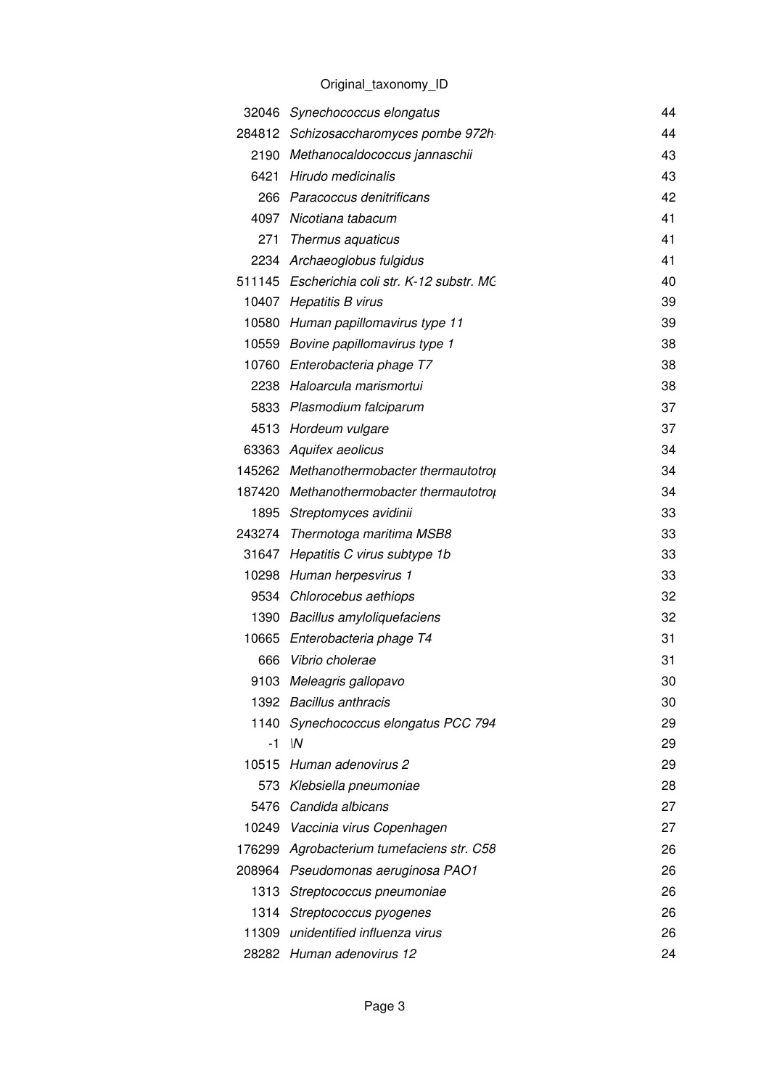|       | 32046 Synechococcus elongatus                | 44 |
|-------|----------------------------------------------|----|
|       | 284812 Schizosaccharomyces pombe 972h        | 44 |
|       | 2190 Methanocaldococcus jannaschii           | 43 |
|       | 6421 Hirudo medicinalis                      | 43 |
|       | 266 Paracoccus denitrificans                 | 42 |
|       | 4097 Nicotiana tabacum                       | 41 |
| 271   | Thermus aquaticus                            | 41 |
|       | 2234 Archaeoglobus fulgidus                  | 41 |
|       | 511145 Escherichia coli str. K-12 substr. MC | 40 |
|       | 10407 Hepatitis B virus                      | 39 |
|       | 10580 Human papillomavirus type 11           | 39 |
|       | 10559 Bovine papillomavirus type 1           | 38 |
|       | 10760 Enterobacteria phage T7                | 38 |
|       | 2238 Haloarcula marismortui                  | 38 |
|       | 5833 Plasmodium falciparum                   | 37 |
|       | 4513 Hordeum vulgare                         | 37 |
|       | 63363 Aquifex aeolicus                       | 34 |
|       | 145262 Methanothermobacter thermautotrop     | 34 |
|       | 187420 Methanothermobacter thermautotrol     | 34 |
|       | 1895 Streptomyces avidinii                   | 33 |
|       | 243274 Thermotoga maritima MSB8              | 33 |
|       | 31647 Hepatitis C virus subtype 1b           | 33 |
|       | 10298 Human herpesvirus 1                    | 33 |
|       | 9534 Chlorocebus aethiops                    | 32 |
|       | 1390 Bacillus amyloliquefaciens              | 32 |
|       | 10665 Enterobacteria phage T4                | 31 |
| 666   | Vibrio cholerae                              | 31 |
|       | 9103 Meleagris gallopavo                     | 30 |
|       | 1392 Bacillus anthracis                      | 30 |
| 1140  | Synechococcus elongatus PCC 794              | 29 |
| -1    | W                                            | 29 |
|       | 10515 Human adenovirus 2                     | 29 |
|       | 573 Klebsiella pneumoniae                    | 28 |
|       | 5476 Candida albicans                        | 27 |
|       | 10249 Vaccinia virus Copenhagen              | 27 |
|       | 176299 Agrobacterium tumefaciens str. C58    | 26 |
|       | 208964 Pseudomonas aeruginosa PAO1           | 26 |
|       | 1313 Streptococcus pneumoniae                | 26 |
|       | 1314 Streptococcus pyogenes                  | 26 |
| 11309 | unidentified influenza virus                 | 26 |
|       | 28282 Human adenovirus 12                    | 24 |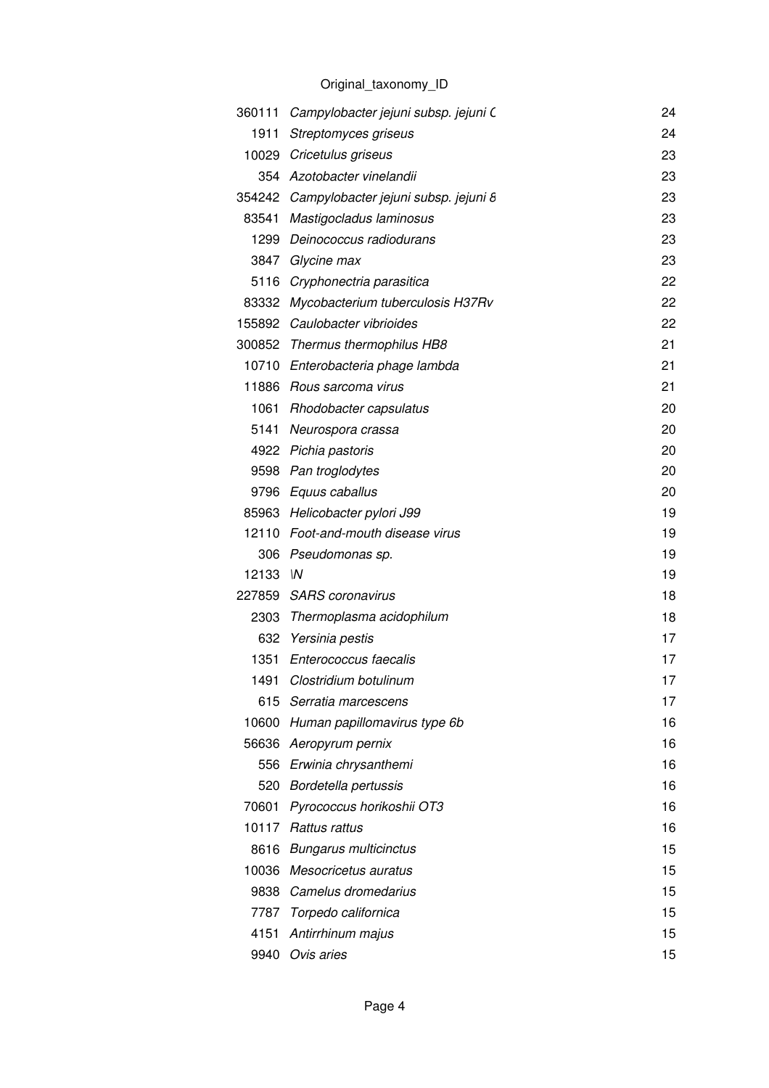|       | 360111 Campylobacter jejuni subsp. jejuni C | 24 |
|-------|---------------------------------------------|----|
| 1911  | Streptomyces griseus                        | 24 |
|       | 10029 Cricetulus griseus                    | 23 |
|       | 354 Azotobacter vinelandii                  | 23 |
|       | 354242 Campylobacter jejuni subsp. jejuni 8 | 23 |
| 83541 | Mastigocladus laminosus                     | 23 |
| 1299  | Deinococcus radiodurans                     | 23 |
|       | 3847 Glycine max                            | 23 |
|       | 5116 Cryphonectria parasitica               | 22 |
|       | 83332 Mycobacterium tuberculosis H37Rv      | 22 |
|       | 155892 Caulobacter vibrioides               | 22 |
|       | 300852 Thermus thermophilus HB8             | 21 |
|       | 10710 Enterobacteria phage lambda           | 21 |
|       | 11886 Rous sarcoma virus                    | 21 |
|       | 1061 Rhodobacter capsulatus                 | 20 |
| 5141  | Neurospora crassa                           | 20 |
|       | 4922 Pichia pastoris                        | 20 |
|       | 9598 Pan troglodytes                        | 20 |
|       | 9796 Equus caballus                         | 20 |
|       | 85963 Helicobacter pylori J99               | 19 |
|       | 12110 Foot-and-mouth disease virus          | 19 |
|       | 306 Pseudomonas sp.                         | 19 |
| 12133 | $\mathsf{M}$                                | 19 |
|       | 227859 SARS coronavirus                     | 18 |
|       | 2303 Thermoplasma acidophilum               | 18 |
|       | 632 Yersinia pestis                         | 17 |
|       | 1351 Enterococcus faecalis                  | 17 |
|       | 1491 Clostridium botulinum                  | 17 |
| 615   | Serratia marcescens                         | 17 |
| 10600 | Human papillomavirus type 6b                | 16 |
| 56636 | Aeropyrum pernix                            | 16 |
| 556   | Erwinia chrysanthemi                        | 16 |
| 520   | Bordetella pertussis                        | 16 |
| 70601 | Pyrococcus horikoshii OT3                   | 16 |
| 10117 | Rattus rattus                               | 16 |
| 8616  | <b>Bungarus multicinctus</b>                | 15 |
| 10036 | Mesocricetus auratus                        | 15 |
|       | 9838 Camelus dromedarius                    | 15 |
| 7787  | Torpedo californica                         | 15 |
| 4151  | Antirrhinum majus                           | 15 |
|       | 9940 Ovis aries                             | 15 |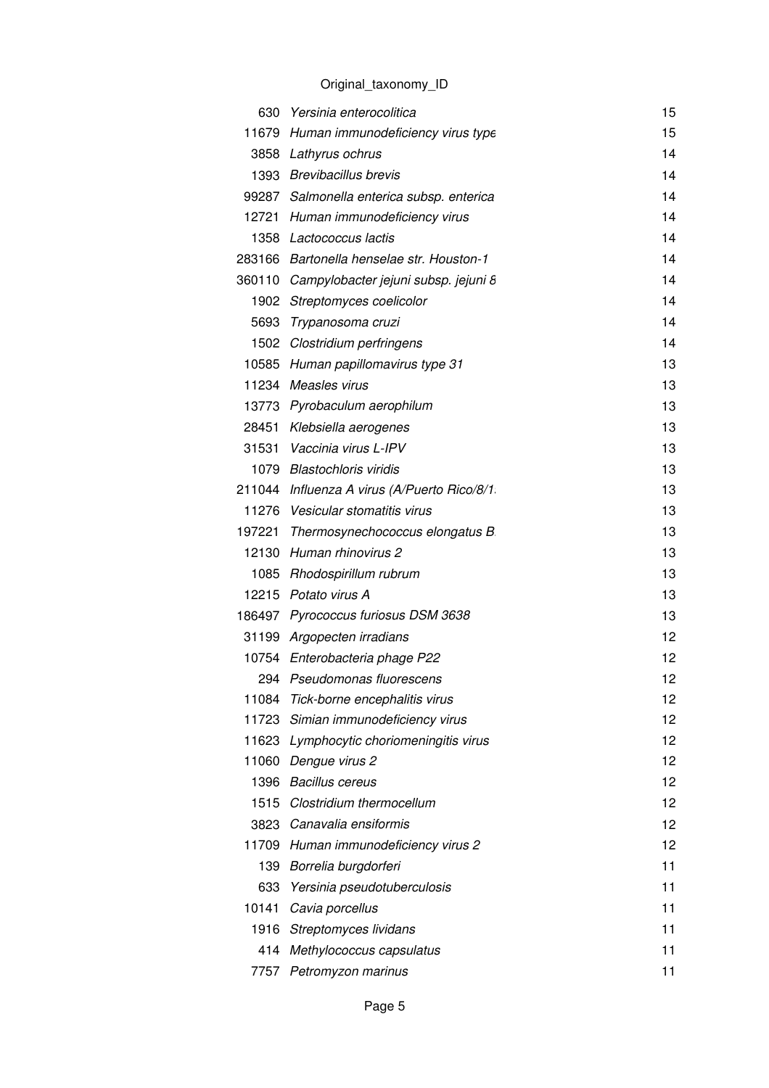|       | 630 Yersinia enterocolitica                 | 15 |
|-------|---------------------------------------------|----|
|       | 11679 Human immunodeficiency virus type     | 15 |
|       | 3858 Lathyrus ochrus                        | 14 |
|       | 1393 Brevibacillus brevis                   | 14 |
|       | 99287 Salmonella enterica subsp. enterica   | 14 |
|       | 12721 Human immunodeficiency virus          | 14 |
|       | 1358 Lactococcus lactis                     | 14 |
|       | 283166 Bartonella henselae str. Houston-1   | 14 |
|       | 360110 Campylobacter jejuni subsp. jejuni 8 | 14 |
|       | 1902 Streptomyces coelicolor                | 14 |
|       | 5693 Trypanosoma cruzi                      | 14 |
|       | 1502 Clostridium perfringens                | 14 |
|       | 10585 Human papillomavirus type 31          | 13 |
|       | 11234 Measles virus                         | 13 |
|       | 13773 Pyrobaculum aerophilum                | 13 |
|       | 28451 Klebsiella aerogenes                  | 13 |
|       | 31531 Vaccinia virus L-IPV                  | 13 |
|       | 1079 Blastochloris viridis                  | 13 |
|       | 211044 Influenza A virus (A/Puerto Rico/8/1 | 13 |
|       | 11276 Vesicular stomatitis virus            | 13 |
|       | 197221 Thermosynechococcus elongatus B      | 13 |
|       | 12130 Human rhinovirus 2                    | 13 |
|       | 1085 Rhodospirillum rubrum                  | 13 |
|       | 12215 Potato virus A                        | 13 |
|       | 186497 Pyrococcus furiosus DSM 3638         | 13 |
|       | 31199 Argopecten irradians                  | 12 |
|       | 10754 Enterobacteria phage P22              | 12 |
|       | 294 Pseudomonas fluorescens                 | 12 |
| 11084 | Tick-borne encephalitis virus               | 12 |
|       | 11723 Simian immunodeficiency virus         | 12 |
|       | 11623 Lymphocytic choriomeningitis virus    | 12 |
|       | 11060 Dengue virus 2                        | 12 |
|       | 1396 Bacillus cereus                        | 12 |
|       | 1515 Clostridium thermocellum               | 12 |
|       | 3823 Canavalia ensiformis                   | 12 |
|       | 11709 Human immunodeficiency virus 2        | 12 |
|       | 139 Borrelia burgdorferi                    | 11 |
| 633   | Yersinia pseudotuberculosis                 | 11 |
|       | 10141 Cavia porcellus                       | 11 |
|       | 1916 Streptomyces lividans                  | 11 |
|       | 414 Methylococcus capsulatus                | 11 |
|       | 7757 Petromyzon marinus                     | 11 |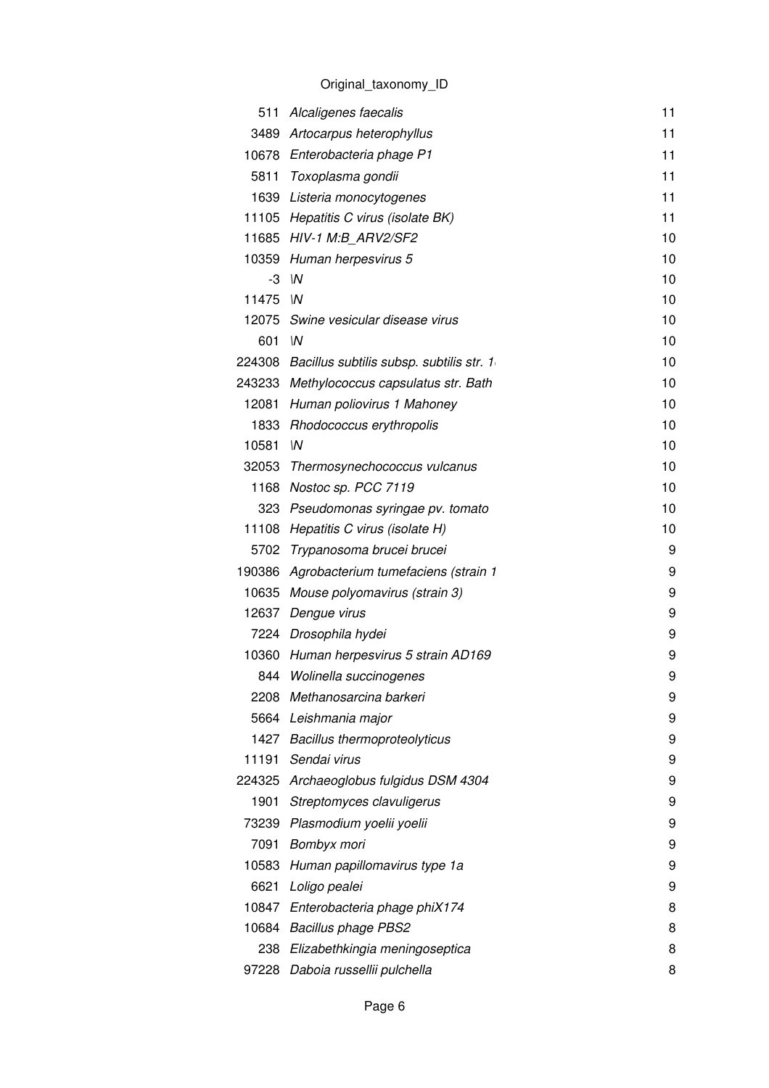| 511   | Alcaligenes faecalis                            | 11 |
|-------|-------------------------------------------------|----|
|       | 3489 Artocarpus heterophyllus                   | 11 |
|       | 10678 Enterobacteria phage P1                   | 11 |
|       | 5811 Toxoplasma gondii                          | 11 |
|       | 1639 Listeria monocytogenes                     | 11 |
|       | 11105 Hepatitis C virus (isolate BK)            | 11 |
|       | 11685 HIV-1 M:B_ARV2/SF2                        | 10 |
|       | 10359 Human herpesvirus 5                       | 10 |
|       | $-3$ $\sqrt{N}$                                 | 10 |
| 11475 | $\mathsf{M}$                                    | 10 |
|       | 12075 Swine vesicular disease virus             | 10 |
| 601   | W                                               | 10 |
|       | 224308 Bacillus subtilis subsp. subtilis str. 1 | 10 |
|       | 243233 Methylococcus capsulatus str. Bath       | 10 |
|       | 12081 Human poliovirus 1 Mahoney                | 10 |
|       | 1833 Rhodococcus erythropolis                   | 10 |
| 10581 | $\mathsf{M}$                                    | 10 |
|       | 32053 Thermosynechococcus vulcanus              | 10 |
|       | 1168 Nostoc sp. PCC 7119                        | 10 |
|       | 323 Pseudomonas syringae pv. tomato             | 10 |
|       | 11108 Hepatitis C virus (isolate H)             | 10 |
| 5702  | Trypanosoma brucei brucei                       | 9  |
|       | 190386 Agrobacterium tumefaciens (strain 1      | 9  |
|       | 10635 Mouse polyomavirus (strain 3)             | 9  |
| 12637 | Dengue virus                                    | 9  |
|       | 7224 Drosophila hydei                           | 9  |
|       | 10360 Human herpesvirus 5 strain AD169          | 9  |
|       | 844 Wolinella succinogenes                      | 9  |
|       | 2208 Methanosarcina barkeri                     | 9  |
|       | 5664 Leishmania major                           | 9  |
|       | 1427 Bacillus thermoproteolyticus               | 9  |
| 11191 | Sendai virus                                    | 9  |
|       | 224325 Archaeoglobus fulgidus DSM 4304          | 9  |
| 1901  | Streptomyces clavuligerus                       | 9  |
| 73239 | Plasmodium yoelii yoelii                        | 9  |
| 7091  | Bombyx mori                                     | 9  |
| 10583 | Human papillomavirus type 1a                    | 9  |
| 6621  | Loligo pealei                                   | 9  |
| 10847 | Enterobacteria phage phiX174                    | 8  |
| 10684 | Bacillus phage PBS2                             | 8  |
|       | 238 Elizabethkingia meningoseptica              | 8  |
| 97228 | Daboia russellii pulchella                      | 8  |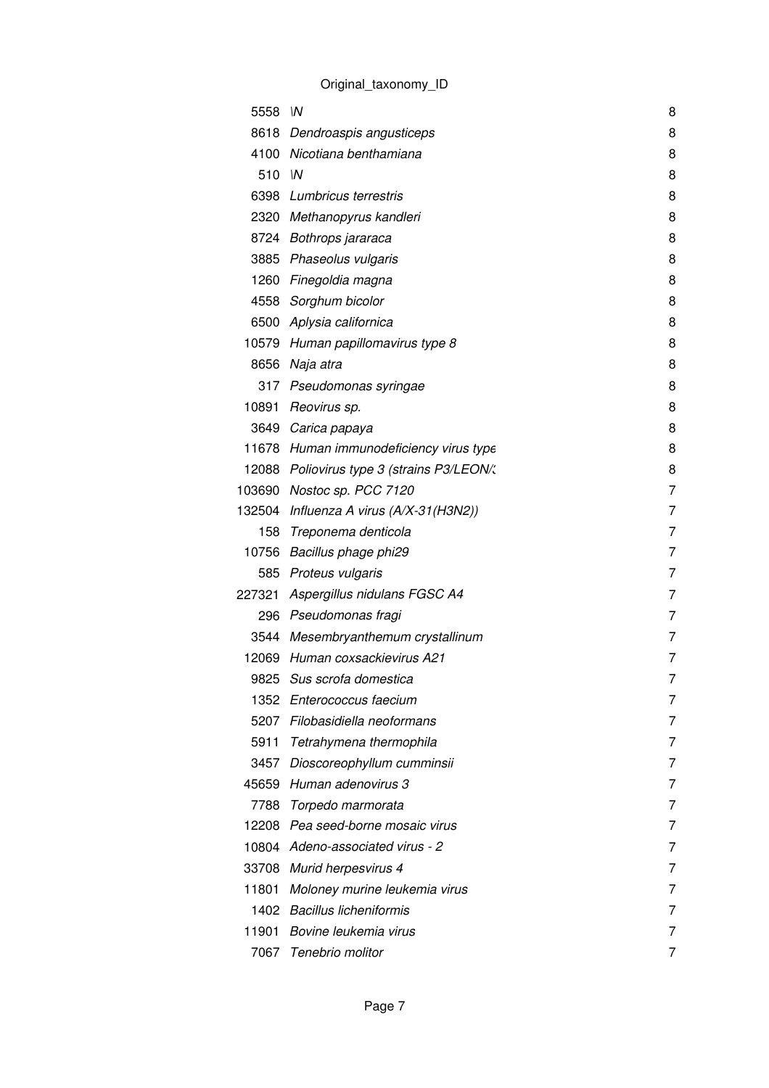| 5558   | $\mathsf{M}$                            | 8 |
|--------|-----------------------------------------|---|
| 8618   | Dendroaspis angusticeps                 | 8 |
| 4100   | Nicotiana benthamiana                   | 8 |
| 510    | $\mathsf{M}$                            | 8 |
| 6398   | Lumbricus terrestris                    | 8 |
|        | 2320 Methanopyrus kandleri              | 8 |
|        | 8724 Bothrops jararaca                  | 8 |
| 3885   | Phaseolus vulgaris                      | 8 |
| 1260   | Finegoldia magna                        | 8 |
| 4558   | Sorghum bicolor                         | 8 |
| 6500   | Aplysia californica                     | 8 |
| 10579  | Human papillomavirus type 8             | 8 |
| 8656   | Naja atra                               | 8 |
| 317    | Pseudomonas syringae                    | 8 |
| 10891  | Reovirus sp.                            | 8 |
| 3649   | Carica papaya                           | 8 |
|        | 11678 Human immunodeficiency virus type | 8 |
| 12088  | Poliovirus type 3 (strains P3/LEON/:    | 8 |
| 103690 | Nostoc sp. PCC 7120                     | 7 |
| 132504 | Influenza A virus (A/X-31(H3N2))        | 7 |
| 158    | Treponema denticola                     | 7 |
| 10756  | Bacillus phage phi29                    | 7 |
| 585    | Proteus vulgaris                        | 7 |
| 227321 | Aspergillus nidulans FGSC A4            | 7 |
| 296    | Pseudomonas fragi                       | 7 |
| 3544   | Mesembryanthemum crystallinum           | 7 |
| 12069  | Human coxsackievirus A21                | 7 |
|        | 9825 Sus scrofa domestica               | 7 |
| 1352   | Enterococcus faecium                    | 7 |
| 5207   | Filobasidiella neoformans               | 7 |
| 5911   | Tetrahymena thermophila                 | 7 |
| 3457   | Dioscoreophyllum cumminsii              | 7 |
| 45659  | Human adenovirus 3                      | 7 |
| 7788   | Torpedo marmorata                       | 7 |
| 12208  | Pea seed-borne mosaic virus             | 7 |
| 10804  | Adeno-associated virus - 2              | 7 |
| 33708  | Murid herpesvirus 4                     | 7 |
| 11801  | Moloney murine leukemia virus           | 7 |
| 1402   | <b>Bacillus licheniformis</b>           | 7 |
| 11901  | Bovine leukemia virus                   | 7 |
| 7067   | Tenebrio molitor                        | 7 |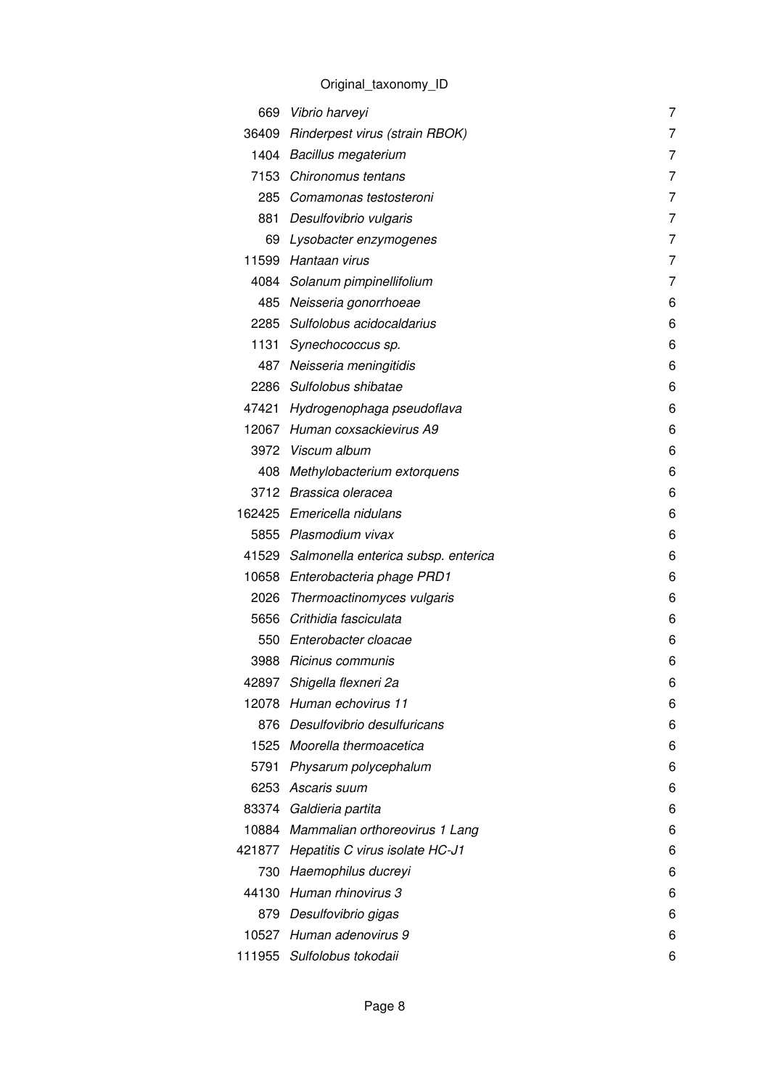|       | 669 Vibrio harveyi                        | 7 |
|-------|-------------------------------------------|---|
|       | 36409 Rinderpest virus (strain RBOK)      | 7 |
|       | 1404 Bacillus megaterium                  | 7 |
|       | 7153 Chironomus tentans                   | 7 |
|       | 285 Comamonas testosteroni                | 7 |
|       | 881 Desulfovibrio vulgaris                | 7 |
|       | 69 Lysobacter enzymogenes                 | 7 |
|       | 11599 Hantaan virus                       | 7 |
|       | 4084 Solanum pimpinellifolium             | 7 |
|       | 485 Neisseria gonorrhoeae                 | 6 |
|       | 2285 Sulfolobus acidocaldarius            | 6 |
|       | 1131 Synechococcus sp.                    | 6 |
|       | 487 Neisseria meningitidis                | 6 |
|       | 2286 Sulfolobus shibatae                  | 6 |
|       | 47421 Hydrogenophaga pseudoflava          | 6 |
|       | 12067 Human coxsackievirus A9             | 6 |
|       | 3972 Viscum album                         | 6 |
|       | 408 Methylobacterium extorquens           | 6 |
|       | 3712 Brassica oleracea                    | 6 |
|       | 162425 Emericella nidulans                | 6 |
|       | 5855 Plasmodium vivax                     | 6 |
|       | 41529 Salmonella enterica subsp. enterica | 6 |
|       | 10658 Enterobacteria phage PRD1           | 6 |
|       | 2026 Thermoactinomyces vulgaris           | 6 |
|       | 5656 Crithidia fasciculata                | 6 |
|       | 550 Enterobacter cloacae                  | 6 |
|       | 3988 Ricinus communis                     | 6 |
| 42897 | Shigella flexneri 2a                      | 6 |
|       | 12078 Human echovirus 11                  | 6 |
|       | 876 Desulfovibrio desulfuricans           | 6 |
|       | 1525 Moorella thermoacetica               | 6 |
|       | 5791 Physarum polycephalum                | 6 |
|       | 6253 Ascaris suum                         | 6 |
| 83374 | Galdieria partita                         | 6 |
|       | 10884 Mammalian orthoreovirus 1 Lang      | 6 |
|       | 421877 Hepatitis C virus isolate HC-J1    | 6 |
|       | 730 Haemophilus ducreyi                   | 6 |
| 44130 | Human rhinovirus 3                        | 6 |
|       | 879 Desulfovibrio gigas                   | 6 |
|       | 10527 Human adenovirus 9                  | 6 |
|       | 111955 Sulfolobus tokodaii                | 6 |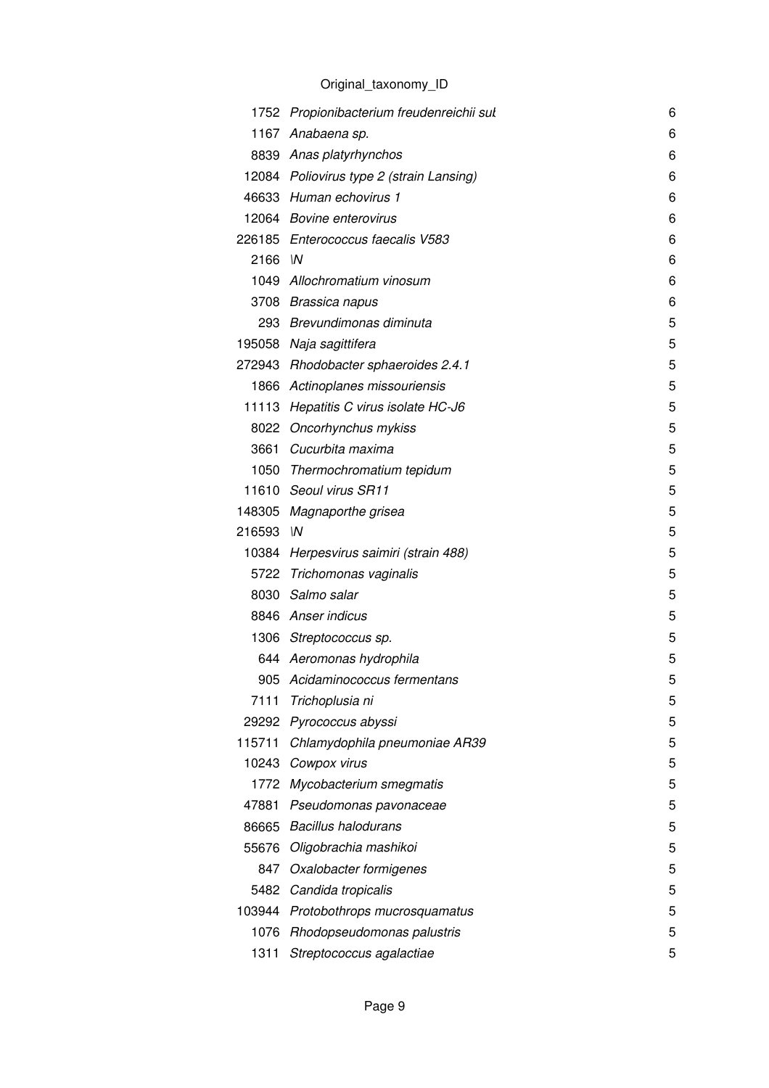|        | 1752 Propionibacterium freudenreichii sul | 6 |
|--------|-------------------------------------------|---|
| 1167   | Anabaena sp.                              | 6 |
|        | 8839 Anas platyrhynchos                   | 6 |
|        | 12084 Poliovirus type 2 (strain Lansing)  | 6 |
|        | 46633 Human echovirus 1                   | 6 |
|        | 12064 Bovine enterovirus                  | 6 |
|        | 226185 Enterococcus faecalis V583         | 6 |
| 2166   | $\mathsf{M}$                              | 6 |
|        | 1049 Allochromatium vinosum               | 6 |
|        | 3708 Brassica napus                       | 6 |
|        | 293 Brevundimonas diminuta                | 5 |
|        | 195058 Naja sagittifera                   | 5 |
|        | 272943 Rhodobacter sphaeroides 2.4.1      | 5 |
|        | 1866 Actinoplanes missouriensis           | 5 |
|        | 11113 Hepatitis C virus isolate HC-J6     | 5 |
|        | 8022 Oncorhynchus mykiss                  | 5 |
|        | 3661 Cucurbita maxima                     | 5 |
|        | 1050 Thermochromatium tepidum             | 5 |
|        | 11610 Seoul virus SR11                    | 5 |
|        | 148305 Magnaporthe grisea                 | 5 |
| 216593 | $\mathsf{M}$                              | 5 |
|        | 10384 Herpesvirus saimiri (strain 488)    | 5 |
|        | 5722 Trichomonas vaginalis                | 5 |
|        | 8030 Salmo salar                          | 5 |
|        | 8846 Anser indicus                        | 5 |
|        | 1306 Streptococcus sp.                    | 5 |
|        | 644 Aeromonas hydrophila                  | 5 |
|        | 905 Acidaminococcus fermentans            | 5 |
| 7111   | Trichoplusia ni                           | 5 |
| 29292  | Pyrococcus abyssi                         | 5 |
| 115711 | Chlamydophila pneumoniae AR39             | 5 |
|        | 10243 Cowpox virus                        | 5 |
|        | 1772 Mycobacterium smegmatis              | 5 |
| 47881  | Pseudomonas pavonaceae                    | 5 |
| 86665  | <b>Bacillus halodurans</b>                | 5 |
| 55676  | Oligobrachia mashikoi                     | 5 |
| 847    | Oxalobacter formigenes                    | 5 |
|        | 5482 Candida tropicalis                   | 5 |
| 103944 | Protobothrops mucrosquamatus              | 5 |
| 1076   | Rhodopseudomonas palustris                | 5 |
| 1311   | Streptococcus agalactiae                  | 5 |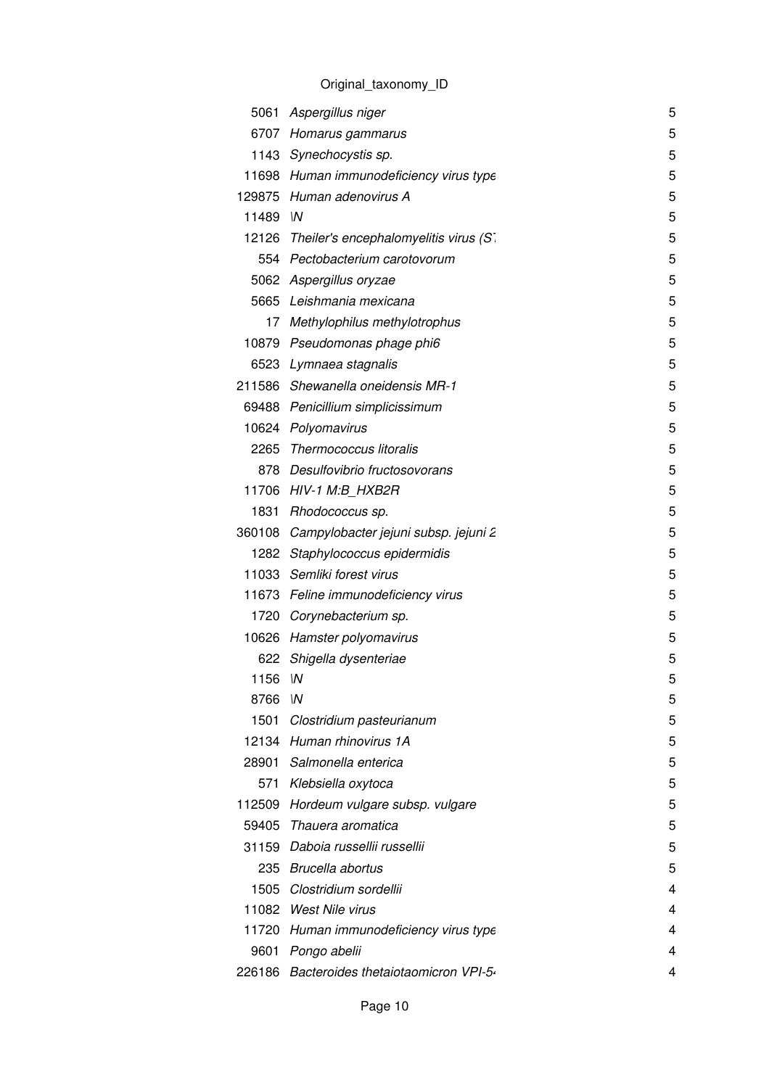|         | 5061 Aspergillus niger                      | 5 |
|---------|---------------------------------------------|---|
|         | 6707 Homarus gammarus                       | 5 |
|         | 1143 Synechocystis sp.                      | 5 |
|         | 11698 Human immunodeficiency virus type     | 5 |
|         | 129875 Human adenovirus A                   | 5 |
| 11489 M |                                             | 5 |
|         | 12126 Theiler's encephalomyelitis virus (S. | 5 |
|         | 554 Pectobacterium carotovorum              | 5 |
|         | 5062 Aspergillus oryzae                     | 5 |
|         | 5665 Leishmania mexicana                    | 5 |
|         | 17 Methylophilus methylotrophus             | 5 |
|         | 10879 Pseudomonas phage phi6                | 5 |
|         | 6523 Lymnaea stagnalis                      | 5 |
|         | 211586 Shewanella oneidensis MR-1           | 5 |
|         | 69488 Penicillium simplicissimum            | 5 |
|         | 10624 Polyomavirus                          | 5 |
|         | 2265 Thermococcus litoralis                 | 5 |
|         | 878 Desulfovibrio fructosovorans            | 5 |
|         | 11706 HIV-1 M:B HXB2R                       | 5 |
|         | 1831 Rhodococcus sp.                        | 5 |
|         | 360108 Campylobacter jejuni subsp. jejuni 2 | 5 |
|         | 1282 Staphylococcus epidermidis             | 5 |
|         | 11033 Semliki forest virus                  | 5 |
|         | 11673 Feline immunodeficiency virus         | 5 |
|         | 1720 Corynebacterium sp.                    | 5 |
|         | 10626 Hamster polyomavirus                  | 5 |
|         | 622 Shigella dysenteriae                    | 5 |
| 1156 IN |                                             | 5 |
| 8766    | $\mathsf{M}$                                | 5 |
|         | 1501 Clostridium pasteurianum               | 5 |
|         | 12134 Human rhinovirus 1A                   | 5 |
|         | 28901 Salmonella enterica                   | 5 |
|         | 571 Klebsiella oxytoca                      | 5 |
|         | 112509 Hordeum vulgare subsp. vulgare       | 5 |
|         | 59405 Thauera aromatica                     | 5 |
|         | 31159 Daboia russellii russellii            | 5 |
|         | 235 Brucella abortus                        | 5 |
|         | 1505 Clostridium sordellii                  | 4 |
|         | 11082 West Nile virus                       | 4 |
|         | 11720 Human immunodeficiency virus type     | 4 |
|         | 9601 Pongo abelii                           | 4 |
|         | 226186 Bacteroides thetaiotaomicron VPI-5.  | 4 |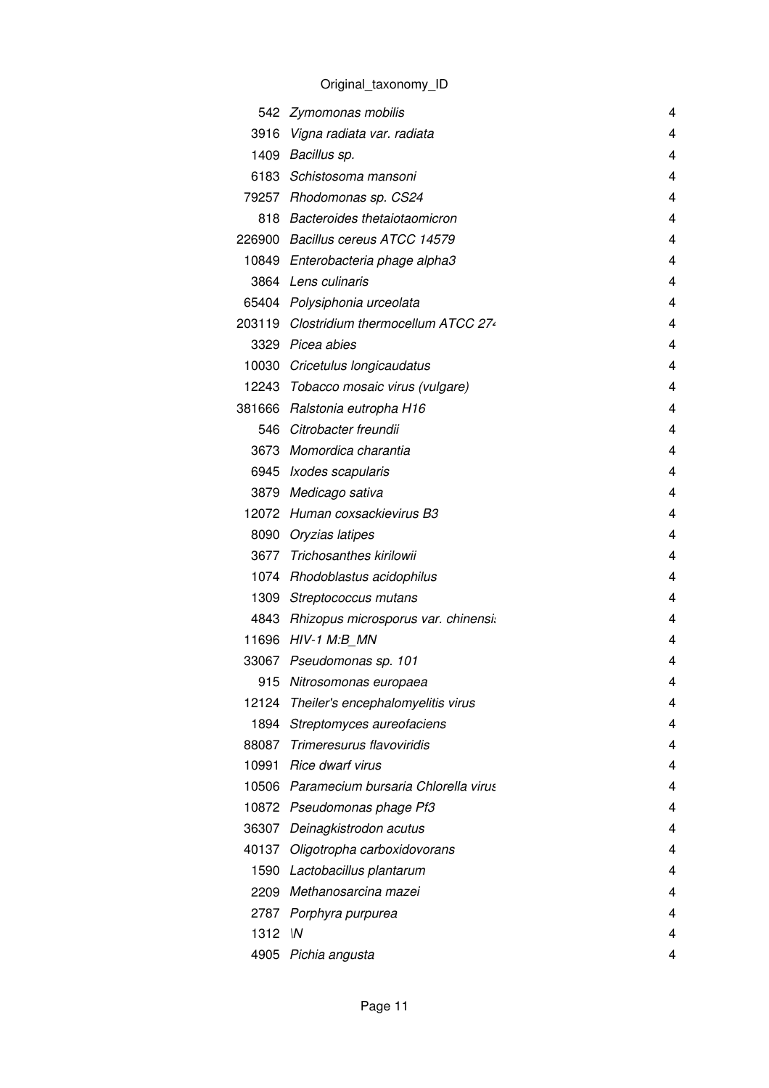|         | 542 Zymomonas mobilis                     | 4 |
|---------|-------------------------------------------|---|
|         | 3916 Vigna radiata var. radiata           | 4 |
|         | 1409 Bacillus sp.                         | 4 |
|         | 6183 Schistosoma mansoni                  | 4 |
|         | 79257 Rhodomonas sp. CS24                 | 4 |
|         | 818 Bacteroides thetaiotaomicron          | 4 |
|         | 226900 Bacillus cereus ATCC 14579         | 4 |
|         | 10849 Enterobacteria phage alpha3         | 4 |
|         | 3864 Lens culinaris                       | 4 |
|         | 65404 Polysiphonia urceolata              | 4 |
|         | 203119 Clostridium thermocellum ATCC 274  | 4 |
|         | 3329 Picea abies                          | 4 |
|         | 10030 Cricetulus longicaudatus            | 4 |
|         | 12243 Tobacco mosaic virus (vulgare)      | 4 |
|         | 381666 Ralstonia eutropha H16             | 4 |
|         | 546 Citrobacter freundii                  | 4 |
|         | 3673 Momordica charantia                  | 4 |
|         | 6945 Ixodes scapularis                    | 4 |
|         | 3879 Medicago sativa                      | 4 |
|         | 12072 Human coxsackievirus B3             | 4 |
|         | 8090 Oryzias latipes                      | 4 |
|         | 3677 Trichosanthes kirilowii              | 4 |
|         | 1074 Rhodoblastus acidophilus             | 4 |
|         | 1309 Streptococcus mutans                 | 4 |
|         | 4843 Rhizopus microsporus var. chinensi.  | 4 |
|         | 11696 HIV-1 M:B MN                        | 4 |
|         | 33067 Pseudomonas sp. 101                 | 4 |
| 915     | Nitrosomonas europaea                     | 4 |
|         | 12124 Theiler's encephalomyelitis virus   | 4 |
| 1894    | Streptomyces aureofaciens                 | 4 |
|         | 88087 Trimeresurus flavoviridis           | 4 |
|         | 10991 Rice dwarf virus                    | 4 |
|         | 10506 Paramecium bursaria Chlorella virus | 4 |
|         | 10872 Pseudomonas phage Pf3               | 4 |
|         | 36307 Deinagkistrodon acutus              | 4 |
| 40137   | Oligotropha carboxidovorans               | 4 |
|         | 1590 Lactobacillus plantarum              | 4 |
|         | 2209 Methanosarcina mazei                 | 4 |
|         | 2787 Porphyra purpurea                    | 4 |
| 1312 IN |                                           | 4 |
|         | 4905 Pichia angusta                       | 4 |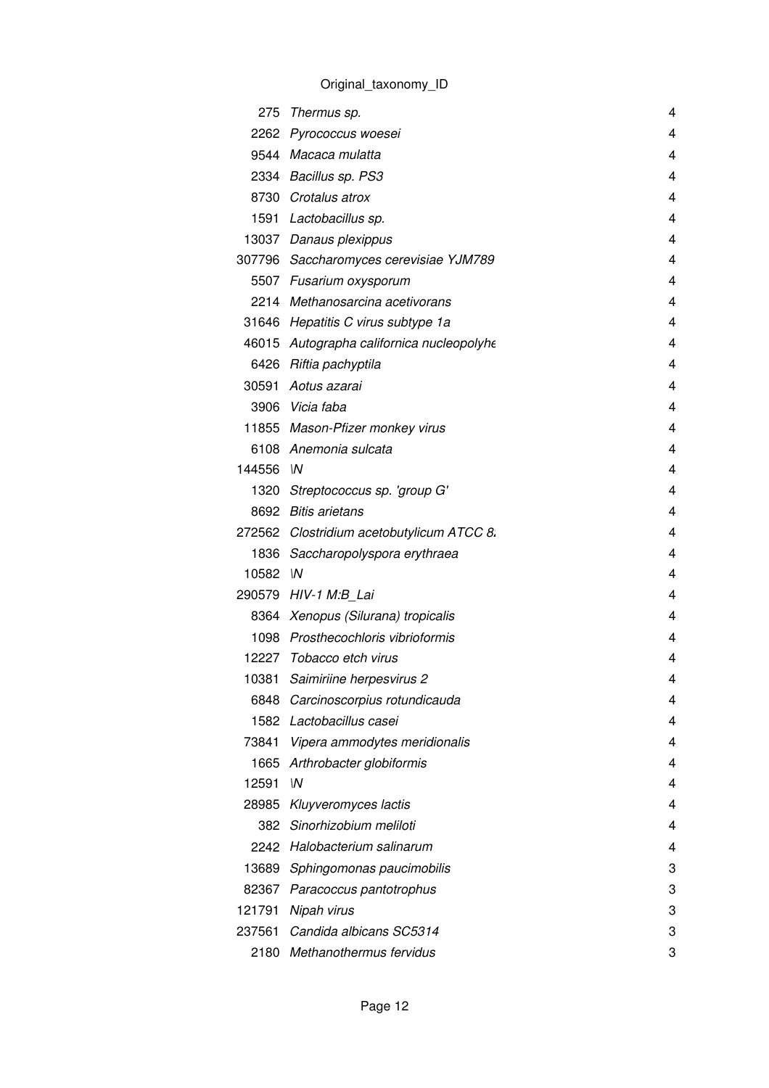| 275     | Thermus sp.                               | 4 |
|---------|-------------------------------------------|---|
|         | 2262 Pyrococcus woesei                    | 4 |
|         | 9544 Macaca mulatta                       | 4 |
|         | 2334 Bacillus sp. PS3                     | 4 |
|         | 8730 Crotalus atrox                       | 4 |
|         | 1591 Lactobacillus sp.                    | 4 |
|         | 13037 Danaus plexippus                    | 4 |
|         | 307796 Saccharomyces cerevisiae YJM789    | 4 |
|         | 5507 Fusarium oxysporum                   | 4 |
|         | 2214 Methanosarcina acetivorans           | 4 |
|         | 31646 Hepatitis C virus subtype 1a        | 4 |
|         | 46015 Autographa californica nucleopolyhe | 4 |
|         | 6426 Riftia pachyptila                    | 4 |
| 30591   | Aotus azarai                              | 4 |
|         | 3906 Vicia faba                           | 4 |
|         | 11855 Mason-Pfizer monkey virus           | 4 |
|         | 6108 Anemonia sulcata                     | 4 |
| 144556  | $\mathsf{M}$                              | 4 |
|         | 1320 Streptococcus sp. 'group G'          | 4 |
|         | 8692 Bitis arietans                       | 4 |
|         | 272562 Clostridium acetobutylicum ATCC 8. | 4 |
|         | 1836 Saccharopolyspora erythraea          | 4 |
| 10582 M |                                           | 4 |
|         | 290579 HIV-1 M:B_Lai                      | 4 |
|         | 8364 Xenopus (Silurana) tropicalis        | 4 |
|         | 1098 Prosthecochloris vibrioformis        | 4 |
|         | 12227 Tobacco etch virus                  | 4 |
| 10381   | Saimiriine herpesvirus 2                  | 4 |
|         | 6848 Carcinoscorpius rotundicauda         | 4 |
| 1582    | Lactobacillus casei                       | 4 |
| 73841   | Vipera ammodytes meridionalis             | 4 |
| 1665    | Arthrobacter globiformis                  | 4 |
| 12591   | W                                         | 4 |
| 28985   | Kluyveromyces lactis                      | 4 |
| 382     | Sinorhizobium meliloti                    | 4 |
|         | 2242 Halobacterium salinarum              | 4 |
| 13689   | Sphingomonas paucimobilis                 | 3 |
| 82367   | Paracoccus pantotrophus                   | 3 |
| 121791  | Nipah virus                               | 3 |
| 237561  | Candida albicans SC5314                   | 3 |
| 2180    | Methanothermus fervidus                   | 3 |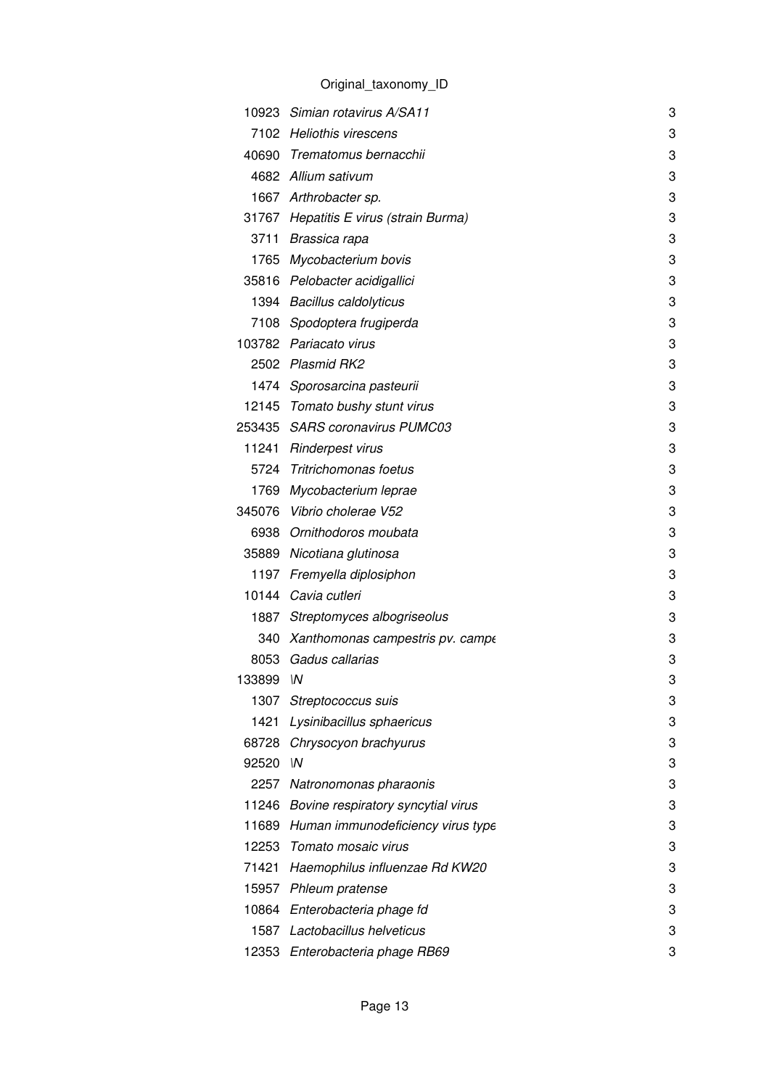|           | 10923 Simian rotavirus A/SA11            | 3 |
|-----------|------------------------------------------|---|
|           | 7102 Heliothis virescens                 | 3 |
|           | 40690 Trematomus bernacchii              | 3 |
|           | 4682 Allium sativum                      | 3 |
|           | 1667 Arthrobacter sp.                    | 3 |
|           | 31767 Hepatitis E virus (strain Burma)   | 3 |
|           | 3711 Brassica rapa                       | 3 |
|           | 1765 Mycobacterium bovis                 | 3 |
|           | 35816 Pelobacter acidigallici            | 3 |
|           | 1394 Bacillus caldolyticus               | 3 |
|           | 7108 Spodoptera frugiperda               | 3 |
|           | 103782 Pariacato virus                   | 3 |
|           | 2502 Plasmid RK2                         | 3 |
|           | 1474 Sporosarcina pasteurii              | 3 |
|           | 12145 Tomato bushy stunt virus           | 3 |
|           | 253435 SARS coronavirus PUMC03           | 3 |
|           | 11241 Rinderpest virus                   | 3 |
|           | 5724 Tritrichomonas foetus               | 3 |
|           | 1769 Mycobacterium leprae                | 3 |
|           | 345076 Vibrio cholerae V52               | 3 |
|           | 6938 Ornithodoros moubata                | 3 |
|           | 35889 Nicotiana glutinosa                | 3 |
|           | 1197 Fremyella diplosiphon               | 3 |
|           | 10144 Cavia cutleri                      | 3 |
|           | 1887 Streptomyces albogriseolus          | 3 |
|           | 340 Xanthomonas campestris pv. campe     | 3 |
|           | 8053 Gadus callarias                     | 3 |
| 133899 IN |                                          | 3 |
| 1307      | Streptococcus suis                       | 3 |
| 1421      | Lysinibacillus sphaericus                | 3 |
|           | 68728 Chrysocyon brachyurus              | 3 |
| 92520     | ۱N                                       | 3 |
|           | 2257 Natronomonas pharaonis              | 3 |
|           | 11246 Bovine respiratory syncytial virus | 3 |
|           | 11689 Human immunodeficiency virus type  | 3 |
|           | 12253 Tomato mosaic virus                | 3 |
| 71421     | Haemophilus influenzae Rd KW20           | 3 |
|           | 15957 Phleum pratense                    | 3 |
|           | 10864 Enterobacteria phage fd            | 3 |
| 1587      | Lactobacillus helveticus                 | 3 |
|           | 12353 Enterobacteria phage RB69          | 3 |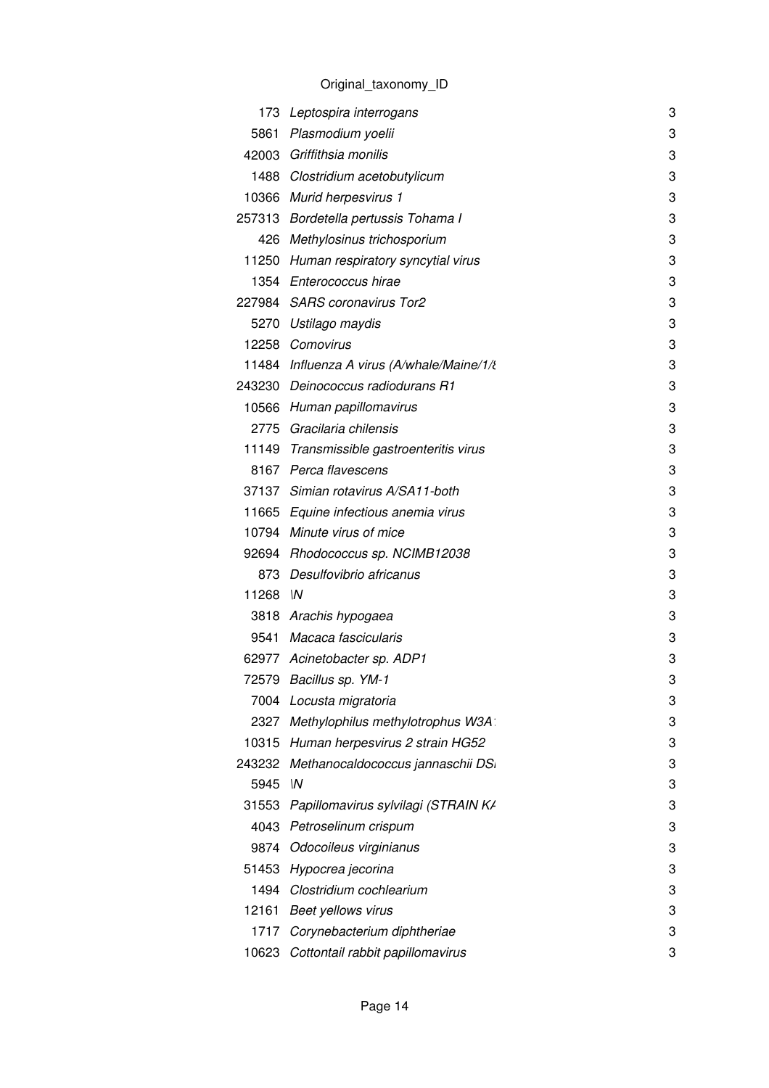|        | 173 Leptospira interrogans                 | 3 |
|--------|--------------------------------------------|---|
| 5861   | Plasmodium yoelii                          | 3 |
|        | 42003 Griffithsia monilis                  | 3 |
|        | 1488 Clostridium acetobutylicum            | 3 |
|        | 10366 Murid herpesvirus 1                  | 3 |
|        | 257313 Bordetella pertussis Tohama I       | 3 |
| 426    | Methylosinus trichosporium                 | 3 |
|        | 11250 Human respiratory syncytial virus    | 3 |
|        | 1354 Enterococcus hirae                    | 3 |
|        | 227984 SARS coronavirus Tor2               | 3 |
|        | 5270 Ustilago maydis                       | 3 |
|        | 12258 Comovirus                            | 3 |
|        | 11484 Influenza A virus (A/whale/Maine/1/¿ | 3 |
|        | 243230 Deinococcus radiodurans R1          | 3 |
|        | 10566 Human papillomavirus                 | 3 |
|        | 2775 Gracilaria chilensis                  | 3 |
|        | 11149 Transmissible gastroenteritis virus  | 3 |
|        | 8167 Perca flavescens                      | 3 |
|        | 37137 Simian rotavirus A/SA11-both         | 3 |
|        | 11665 Equine infectious anemia virus       | 3 |
|        | 10794 Minute virus of mice                 | 3 |
|        | 92694 Rhodococcus sp. NCIMB12038           | 3 |
| 873    | Desulfovibrio africanus                    | 3 |
| 11268  | $\mathsf{M}$                               | 3 |
|        | 3818 Arachis hypogaea                      | 3 |
| 9541   | Macaca fascicularis                        | 3 |
|        | 62977 Acinetobacter sp. ADP1               | 3 |
|        | 72579 Bacillus sp. YM-1                    | 3 |
| 7004   | Locusta migratoria                         | 3 |
| 2327   | Methylophilus methylotrophus W3A:          | 3 |
| 10315  | Human herpesvirus 2 strain HG52            | 3 |
| 243232 | Methanocaldococcus jannaschii DS.          | 3 |
| 5945   | W                                          | 3 |
| 31553  | Papillomavirus sylvilagi (STRAIN K/        | 3 |
| 4043   | Petroselinum crispum                       | 3 |
| 9874   | Odocoileus virginianus                     | 3 |
| 51453  | Hypocrea jecorina                          | 3 |
|        | 1494 Clostridium cochlearium               | 3 |
| 12161  | <b>Beet yellows virus</b>                  | 3 |
| 1717   | Corynebacterium diphtheriae                | 3 |
| 10623  | Cottontail rabbit papillomavirus           | 3 |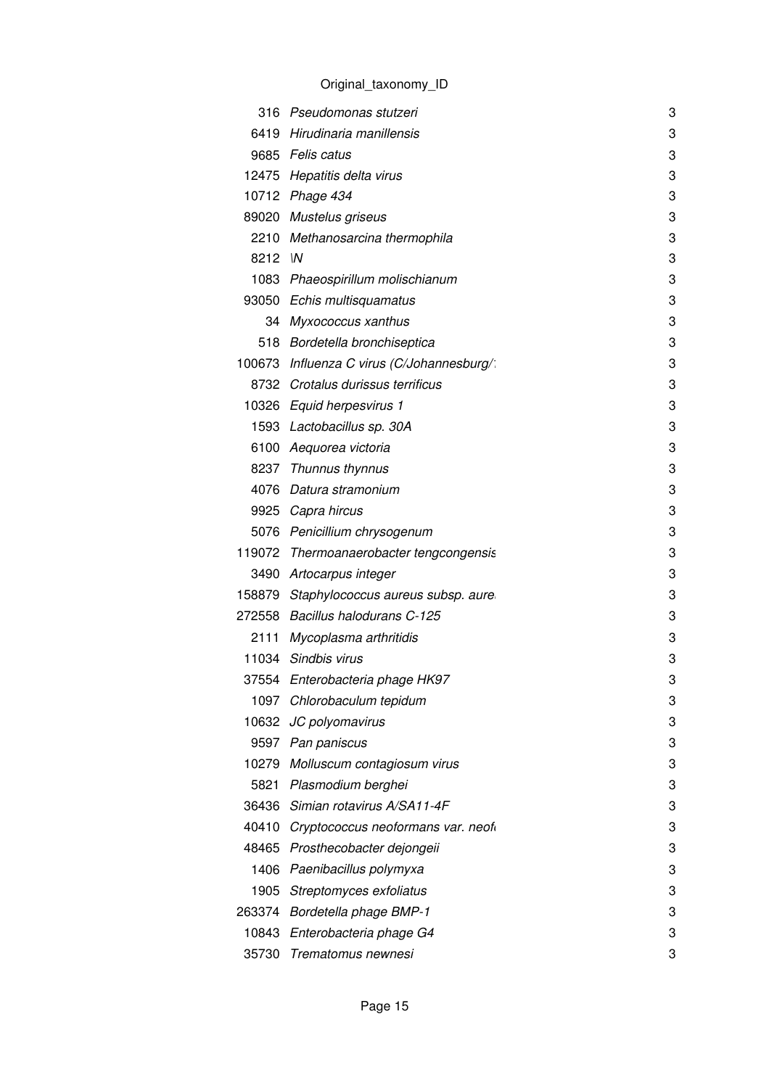|         | 316 Pseudomonas stutzeri                   | 3 |
|---------|--------------------------------------------|---|
|         | 6419 Hirudinaria manillensis               | 3 |
|         | 9685 Felis catus                           | 3 |
|         | 12475 Hepatitis delta virus                | 3 |
|         | 10712 Phage 434                            | 3 |
|         | 89020 Mustelus griseus                     | 3 |
|         | 2210 Methanosarcina thermophila            | 3 |
| 8212 IN |                                            | 3 |
|         | 1083 Phaeospirillum molischianum           | 3 |
|         | 93050 Echis multisquamatus                 | 3 |
|         | 34 Myxococcus xanthus                      | 3 |
|         | 518 Bordetella bronchiseptica              | 3 |
|         | 100673 Influenza C virus (C/Johannesburg/: | 3 |
|         | 8732 Crotalus durissus terrificus          | 3 |
|         | 10326 Equid herpesvirus 1                  | 3 |
|         | 1593 Lactobacillus sp. 30A                 | 3 |
|         | 6100 Aequorea victoria                     | 3 |
|         | 8237 Thunnus thynnus                       | 3 |
|         | 4076 Datura stramonium                     | 3 |
|         | 9925 Capra hircus                          | 3 |
|         | 5076 Penicillium chrysogenum               | 3 |
|         | 119072 Thermoanaerobacter tengcongensis    | 3 |
|         | 3490 Artocarpus integer                    | 3 |
|         | 158879 Staphylococcus aureus subsp. aure   | 3 |
|         | 272558 Bacillus halodurans C-125           | 3 |
|         | 2111 Mycoplasma arthritidis                | 3 |
|         | 11034 Sindbis virus                        | 3 |
|         | 37554 Enterobacteria phage HK97            | 3 |
|         | 1097 Chlorobaculum tepidum                 | 3 |
| 10632   | JC polyomavirus                            | 3 |
|         | 9597 Pan paniscus                          | 3 |
|         | 10279 Molluscum contagiosum virus          | 3 |
| 5821    | Plasmodium berghei                         | 3 |
|         | 36436 Simian rotavirus A/SA11-4F           | 3 |
| 40410   | Cryptococcus neoformans var. neof          | 3 |
|         | 48465 Prosthecobacter dejongeii            | 3 |
| 1406    | Paenibacillus polymyxa                     | 3 |
| 1905    | Streptomyces exfoliatus                    | 3 |
| 263374  | <b>Bordetella phage BMP-1</b>              | 3 |
| 10843   | Enterobacteria phage G4                    | 3 |
|         | 35730 Trematomus newnesi                   | 3 |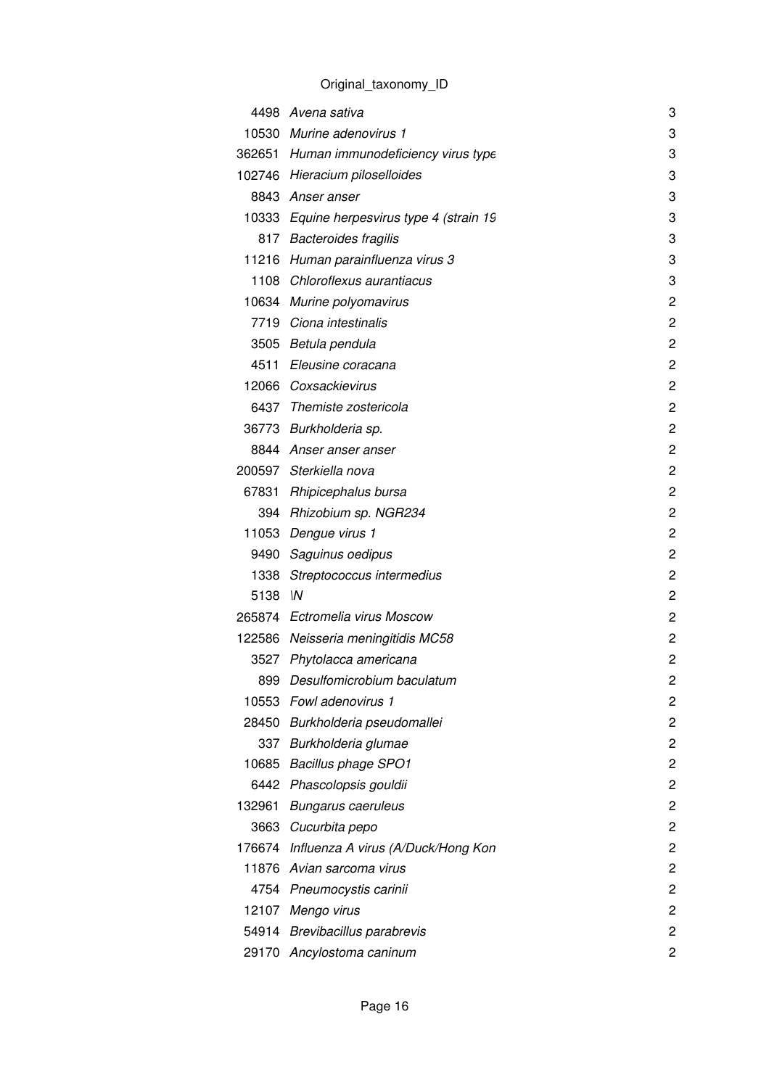|         | 4498 Avena sativa                          | 3              |
|---------|--------------------------------------------|----------------|
|         | 10530 Murine adenovirus 1                  | 3              |
|         | 362651 Human immunodeficiency virus type   | 3              |
|         | 102746 Hieracium piloselloides             | 3              |
|         | 8843 Anser anser                           | 3              |
|         | 10333 Equine herpesvirus type 4 (strain 19 | 3              |
|         | 817 Bacteroides fragilis                   | 3              |
|         | 11216 Human parainfluenza virus 3          | 3              |
|         | 1108 Chloroflexus aurantiacus              | 3              |
|         | 10634 Murine polyomavirus                  | $\overline{c}$ |
|         | 7719 Ciona intestinalis                    | $\overline{c}$ |
|         | 3505 Betula pendula                        | $\overline{c}$ |
|         | 4511 Eleusine coracana                     | $\overline{c}$ |
|         | 12066 Coxsackievirus                       | 2              |
|         | 6437 Themiste zostericola                  | $\overline{c}$ |
|         | 36773 Burkholderia sp.                     | $\overline{c}$ |
|         | 8844 Anser anser anser                     | 2              |
|         | 200597 Sterkiella nova                     | $\overline{c}$ |
|         | 67831 Rhipicephalus bursa                  | $\overline{c}$ |
|         | 394 Rhizobium sp. NGR234                   | $\overline{c}$ |
|         | 11053 Dengue virus 1                       | $\overline{c}$ |
|         | 9490 Saguinus oedipus                      | $\overline{c}$ |
|         | 1338 Streptococcus intermedius             | $\overline{c}$ |
| 5138 IN |                                            | $\overline{c}$ |
|         | 265874 Ectromelia virus Moscow             | 2              |
|         | 122586 Neisseria meningitidis MC58         | 2              |
|         | 3527 Phytolacca americana                  | 2              |
|         | 899 Desulfomicrobium baculatum             | 2              |
| 10553   | Fowl adenovirus 1                          | 2              |
|         | 28450 Burkholderia pseudomallei            | 2              |
|         | 337 Burkholderia glumae                    | $\overline{c}$ |
|         | 10685 Bacillus phage SPO1                  | 2              |
|         | 6442 Phascolopsis gouldii                  | 2              |
| 132961  | <b>Bungarus caeruleus</b>                  | $\overline{c}$ |
|         | 3663 Cucurbita pepo                        | $\overline{c}$ |
|         | 176674 Influenza A virus (A/Duck/Hong Kon  | 2              |
|         | 11876 Avian sarcoma virus                  | $\overline{c}$ |
|         | 4754 Pneumocystis carinii                  | $\overline{c}$ |
|         | 12107 Mengo virus                          | $\overline{c}$ |
|         | 54914 Brevibacillus parabrevis             | $\overline{c}$ |
|         | 29170 Ancylostoma caninum                  | 2              |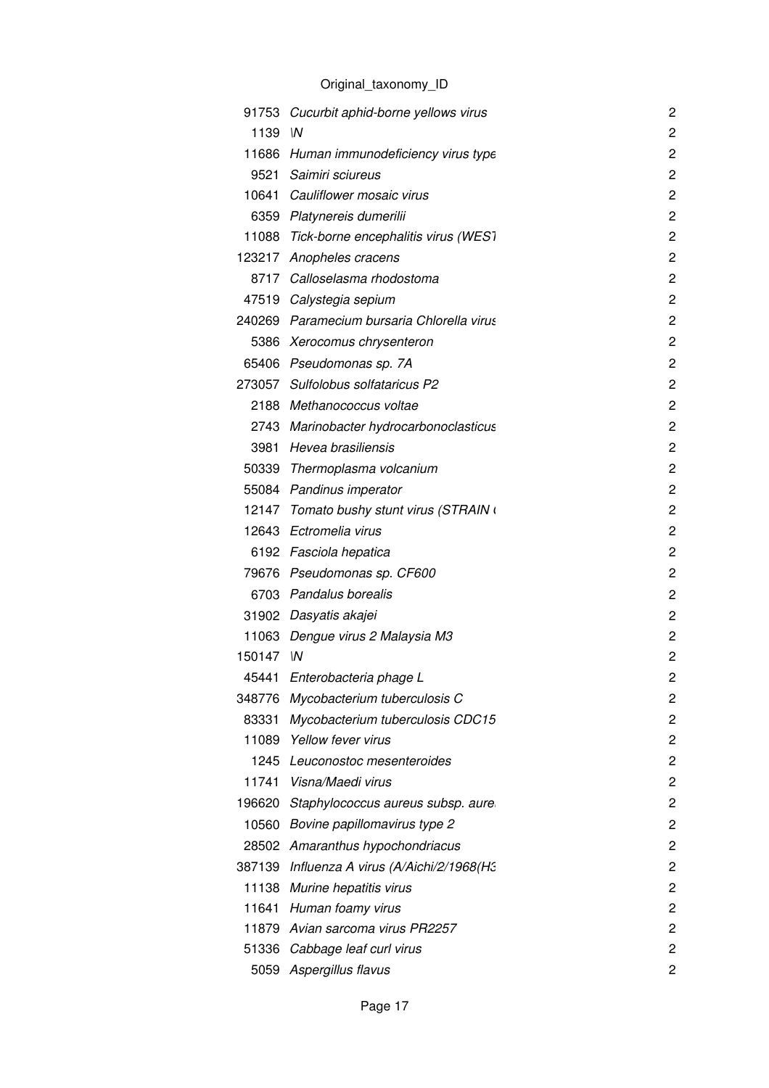|           | 91753 Cucurbit aphid-borne yellows virus    | $\overline{c}$ |
|-----------|---------------------------------------------|----------------|
| 1139 IN   |                                             | 2              |
|           | 11686 Human immunodeficiency virus type     | 2              |
|           | 9521 Saimiri sciureus                       | 2              |
|           | 10641 Cauliflower mosaic virus              | 2              |
|           | 6359 Platynereis dumerilii                  | 2              |
|           | 11088 Tick-borne encephalitis virus (WEST   | $\overline{c}$ |
|           | 123217 Anopheles cracens                    | 2              |
|           | 8717 Calloselasma rhodostoma                | $\overline{c}$ |
|           | 47519 Calystegia sepium                     | $\overline{c}$ |
|           | 240269 Paramecium bursaria Chlorella virus  | 2              |
|           | 5386 Xerocomus chrysenteron                 | 2              |
|           | 65406 Pseudomonas sp. 7A                    | $\overline{2}$ |
|           | 273057 Sulfolobus solfataricus P2           | 2              |
|           | 2188 Methanococcus voltae                   | 2              |
|           | 2743 Marinobacter hydrocarbonoclasticus     | 2              |
|           | 3981 Hevea brasiliensis                     | 2              |
|           | 50339 Thermoplasma volcanium                | $\overline{c}$ |
|           | 55084 Pandinus imperator                    | 2              |
|           | 12147 Tomato bushy stunt virus (STRAIN (    | 2              |
|           | 12643 Ectromelia virus                      | 2              |
|           | 6192 Fasciola hepatica                      | 2              |
|           | 79676 Pseudomonas sp. CF600                 | $\overline{c}$ |
|           | 6703 Pandalus borealis                      | 2              |
|           | 31902 Dasyatis akajei                       | 2              |
|           | 11063 Dengue virus 2 Malaysia M3            | $\overline{c}$ |
| 150147 IN |                                             | $\overline{c}$ |
|           | 45441 Enterobacteria phage L                | 2              |
|           | 348776 Mycobacterium tuberculosis C         | 2              |
| 83331     | Mycobacterium tuberculosis CDC15            | 2              |
|           | 11089 Yellow fever virus                    | 2              |
|           | 1245 Leuconostoc mesenteroides              | 2              |
|           | 11741 Visna/Maedi virus                     | 2              |
| 196620    | Staphylococcus aureus subsp. aure           | $\overline{c}$ |
| 10560     | Bovine papillomavirus type 2                | 2              |
|           | 28502 Amaranthus hypochondriacus            | 2              |
|           | 387139 Influenza A virus (A/Aichi/2/1968(H3 | 2              |
|           | 11138 Murine hepatitis virus                | 2              |
|           | 11641 Human foamy virus                     | 2              |
|           | 11879 Avian sarcoma virus PR2257            | 2              |
|           | 51336 Cabbage leaf curl virus               | 2              |
|           | 5059 Aspergillus flavus                     | 2              |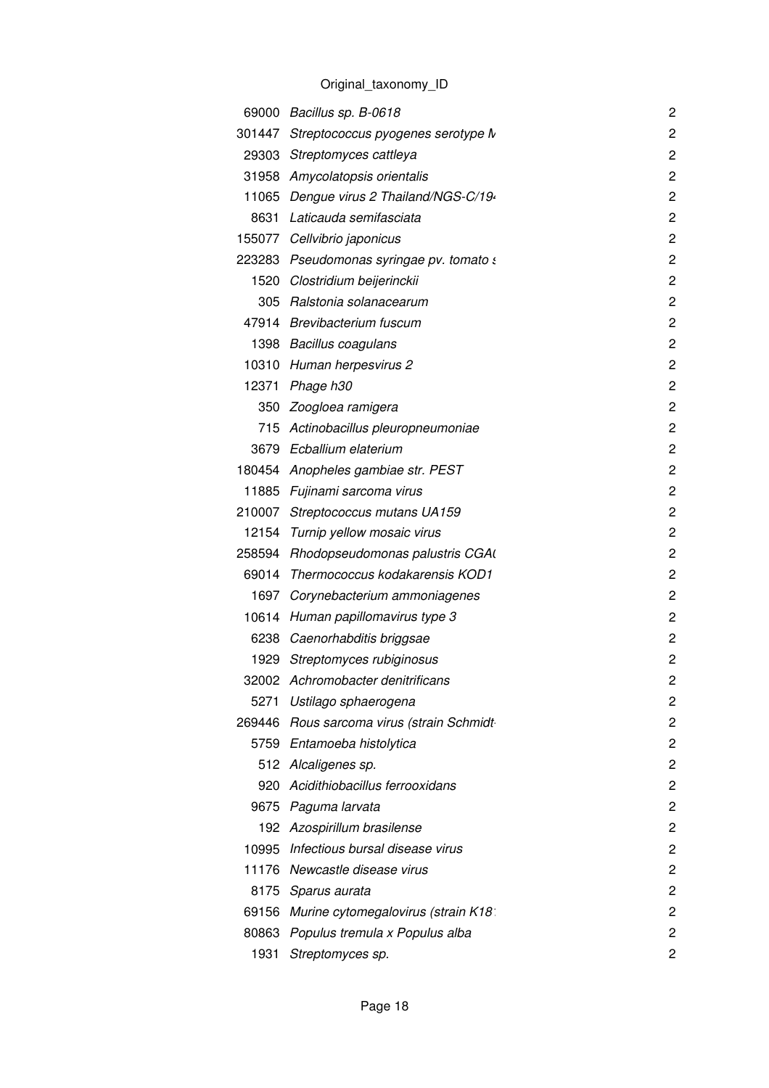|      | 69000 Bacillus sp. B-0618                 | $\overline{2}$ |
|------|-------------------------------------------|----------------|
|      | 301447 Streptococcus pyogenes serotype M  | 2              |
|      | 29303 Streptomyces cattleya               | $\overline{c}$ |
|      | 31958 Amycolatopsis orientalis            | $\overline{c}$ |
|      | 11065 Dengue virus 2 Thailand/NGS-C/19.   | $\overline{c}$ |
| 8631 | Laticauda semifasciata                    | $\overline{c}$ |
|      | 155077 Cellvibrio japonicus               | $\overline{c}$ |
|      | 223283 Pseudomonas syringae pv. tomato s  | 2              |
|      | 1520 Clostridium beijerinckii             | $\overline{c}$ |
|      | 305 Ralstonia solanacearum                | $\overline{c}$ |
|      | 47914 Brevibacterium fuscum               | $\overline{c}$ |
|      | 1398 Bacillus coagulans                   | $\overline{c}$ |
|      | 10310 Human herpesvirus 2                 | $\overline{c}$ |
|      | 12371 Phage h30                           | $\overline{c}$ |
|      | 350 Zoogloea ramigera                     | $\overline{c}$ |
| 715  | Actinobacillus pleuropneumoniae           | $\overline{c}$ |
|      | 3679 Ecballium elaterium                  | $\overline{c}$ |
|      | 180454 Anopheles gambiae str. PEST        | $\overline{c}$ |
|      | 11885 Fujinami sarcoma virus              | $\overline{c}$ |
|      | 210007 Streptococcus mutans UA159         | $\overline{c}$ |
|      | 12154 Turnip yellow mosaic virus          | $\overline{c}$ |
|      | 258594 Rhodopseudomonas palustris CGA     | $\overline{c}$ |
|      | 69014 Thermococcus kodakarensis KOD1      | $\overline{c}$ |
| 1697 | Corynebacterium ammoniagenes              | $\overline{c}$ |
|      | 10614 Human papillomavirus type 3         | $\overline{2}$ |
|      | 6238 Caenorhabditis briggsae              | $\overline{c}$ |
|      | 1929 Streptomyces rubiginosus             | $\overline{c}$ |
|      | 32002 Achromobacter denitrificans         | 2              |
|      | 5271 Ustilago sphaerogena                 | 2              |
|      | 269446 Rous sarcoma virus (strain Schmidt | $\overline{c}$ |
|      | 5759 Entamoeba histolytica                | 2              |
|      | 512 Alcaligenes sp.                       | $\overline{c}$ |
| 920  | Acidithiobacillus ferrooxidans            | $\overline{c}$ |
| 9675 | Paguma larvata                            | $\overline{c}$ |
|      | 192 Azospirillum brasilense               | $\overline{c}$ |
|      | 10995 Infectious bursal disease virus     | $\overline{c}$ |
|      | 11176 Newcastle disease virus             | 2              |
|      | 8175 Sparus aurata                        | 2              |
|      | 69156 Murine cytomegalovirus (strain K18: | 2              |
|      | 80863 Populus tremula x Populus alba      | 2              |
| 1931 | Streptomyces sp.                          | 2              |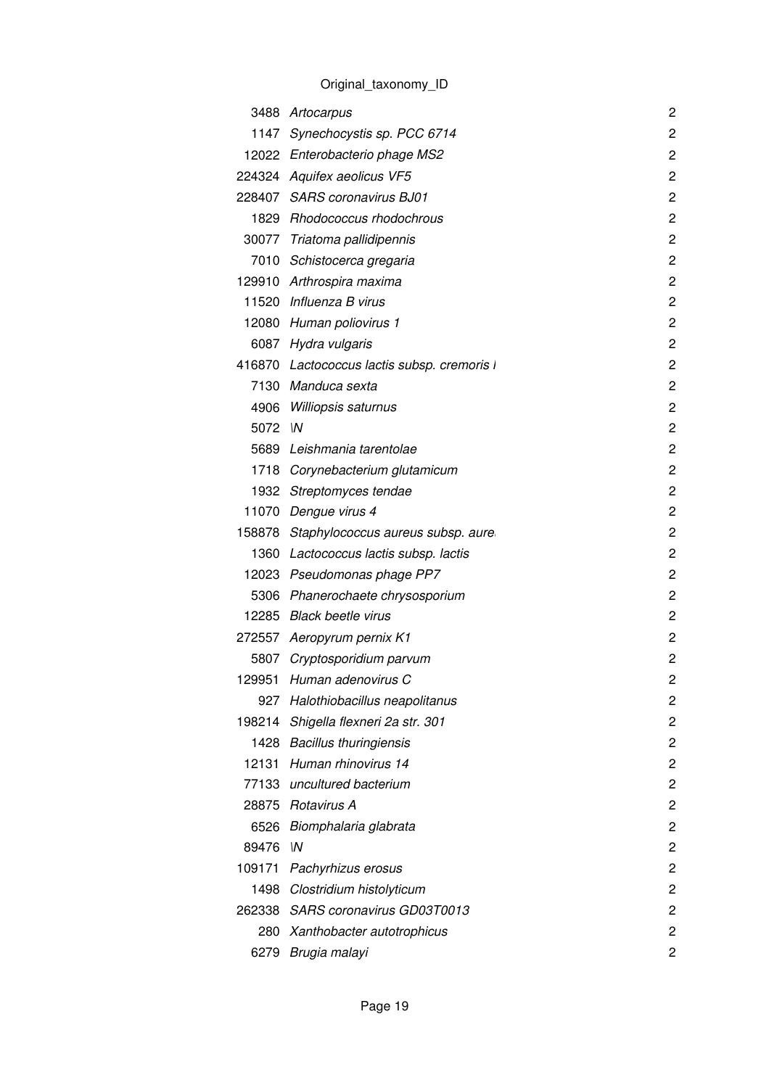|        | 3488 Artocarpus                             | $\overline{c}$ |
|--------|---------------------------------------------|----------------|
|        | 1147 Synechocystis sp. PCC 6714             | $\overline{c}$ |
|        | 12022 Enterobacterio phage MS2              | 2              |
|        | 224324 Aquifex aeolicus VF5                 | $\overline{c}$ |
|        | 228407 SARS coronavirus BJ01                | $\overline{c}$ |
|        | 1829 Rhodococcus rhodochrous                | $\overline{c}$ |
|        | 30077 Triatoma pallidipennis                | $\overline{c}$ |
|        | 7010 Schistocerca gregaria                  | $\overline{c}$ |
|        | 129910 Arthrospira maxima                   | $\overline{c}$ |
|        | 11520 Influenza B virus                     | $\overline{c}$ |
|        | 12080 Human poliovirus 1                    | $\overline{c}$ |
|        | 6087 Hydra vulgaris                         | $\overline{c}$ |
|        | 416870 Lactococcus lactis subsp. cremoris I | $\overline{c}$ |
|        | 7130 Manduca sexta                          | 2              |
|        | 4906 Williopsis saturnus                    | $\overline{c}$ |
| 5072 M |                                             | $\overline{c}$ |
|        | 5689 Leishmania tarentolae                  | $\overline{c}$ |
|        | 1718 Corynebacterium glutamicum             | $\overline{c}$ |
|        | 1932 Streptomyces tendae                    | $\overline{c}$ |
|        | 11070 Dengue virus 4                        | 2              |
|        | 158878 Staphylococcus aureus subsp. aure    | $\overline{c}$ |
|        | 1360 Lactococcus lactis subsp. lactis       | $\overline{c}$ |
|        | 12023 Pseudomonas phage PP7                 | $\overline{c}$ |
|        | 5306 Phanerochaete chrysosporium            | $\overline{c}$ |
|        | 12285 Black beetle virus                    | $\overline{c}$ |
|        | 272557 Aeropyrum pernix K1                  | $\overline{c}$ |
|        | 5807 Cryptosporidium parvum                 | 2              |
|        | 129951 Human adenovirus C                   | $\overline{c}$ |
| 927    | Halothiobacillus neapolitanus               | 2              |
| 198214 | Shigella flexneri 2a str. 301               | 2              |
|        | 1428 Bacillus thuringiensis                 | 2              |
| 12131  | Human rhinovirus 14                         | 2              |
|        | 77133 uncultured bacterium                  | 2              |
|        | 28875 Rotavirus A                           | $\overline{c}$ |
|        | 6526 Biomphalaria glabrata                  | $\overline{c}$ |
| 89476  | $\mathsf{M}$                                | 2              |
| 109171 | Pachyrhizus erosus                          | $\overline{c}$ |
|        | 1498 Clostridium histolyticum               | 2              |
|        | 262338 SARS coronavirus GD03T0013           | 2              |
|        | 280 Xanthobacter autotrophicus              | $\overline{c}$ |
|        | 6279 Brugia malayi                          | 2              |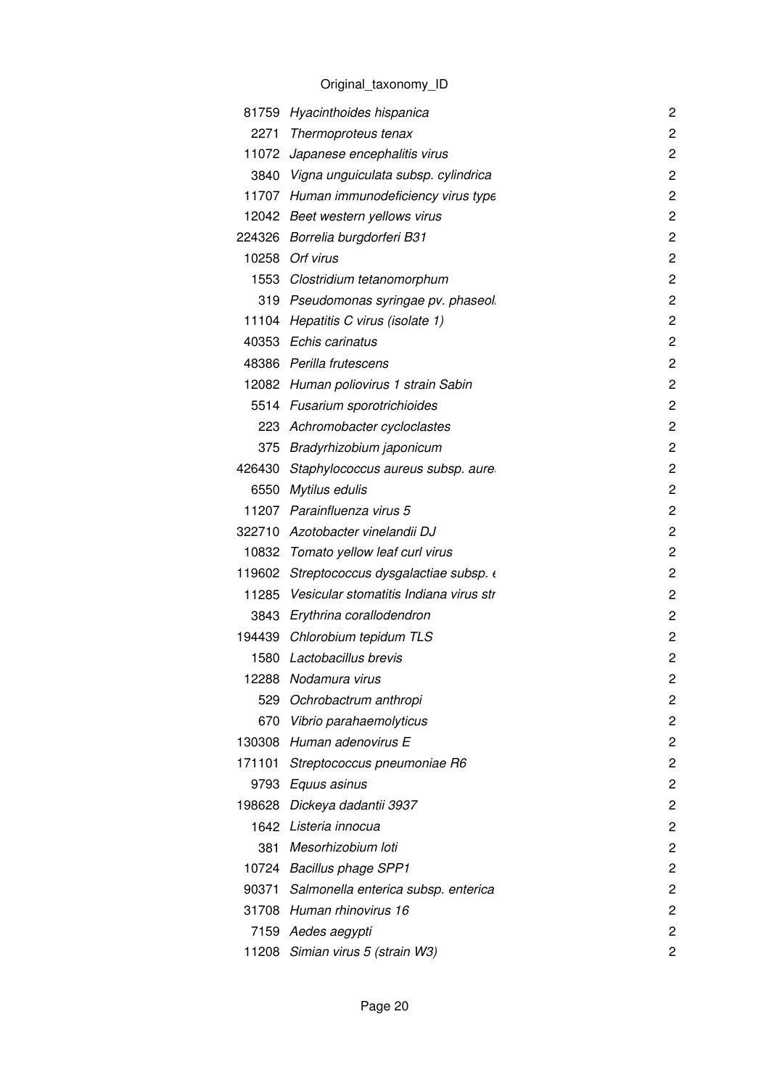|        | 81759 Hyacinthoides hispanica                | 2              |
|--------|----------------------------------------------|----------------|
| 2271   | Thermoproteus tenax                          | 2              |
|        | 11072 Japanese encephalitis virus            | $\overline{c}$ |
|        | 3840 Vigna unguiculata subsp. cylindrica     | $\overline{c}$ |
|        | 11707 Human immunodeficiency virus type      | 2              |
|        | 12042 Beet western yellows virus             | 2              |
|        | 224326 Borrelia burgdorferi B31              | $\overline{c}$ |
|        | 10258 Orf virus                              | 2              |
|        | 1553 Clostridium tetanomorphum               | 2              |
|        | 319 Pseudomonas syringae pv. phaseol.        | 2              |
|        | 11104 Hepatitis C virus (isolate 1)          | 2              |
|        | 40353 Echis carinatus                        | 2              |
|        | 48386 Perilla frutescens                     | 2              |
|        | 12082 Human poliovirus 1 strain Sabin        | 2              |
|        | 5514 Fusarium sporotrichioides               | 2              |
| 223.   | Achromobacter cycloclastes                   | 2              |
| 375    | Bradyrhizobium japonicum                     | 2              |
| 426430 | Staphylococcus aureus subsp. aure            | 2              |
| 6550   | Mytilus edulis                               | 2              |
|        | 11207 Parainfluenza virus 5                  | 2              |
|        | 322710 Azotobacter vinelandii DJ             | $\overline{c}$ |
|        | 10832 Tomato yellow leaf curl virus          | 2              |
|        | 119602 Streptococcus dysgalactiae subsp.     | 2              |
|        | 11285 Vesicular stomatitis Indiana virus str | 2              |
|        | 3843 Erythrina corallodendron                | 2              |
|        | 194439 Chlorobium tepidum TLS                | 2              |
| 1580   | Lactobacillus brevis                         | $\overline{c}$ |
|        | 12288 Nodamura virus                         | $\overline{c}$ |
| 529    | Ochrobactrum anthropi                        | 2              |
| 670    | Vibrio parahaemolyticus                      | 2              |
|        | 130308 Human adenovirus E                    | 2              |
| 171101 | Streptococcus pneumoniae R6                  | 2              |
|        | 9793 Equus asinus                            | 2              |
| 198628 | Dickeya dadantii 3937                        | 2              |
|        | 1642 Listeria innocua                        | 2              |
| 381    | Mesorhizobium loti                           | 2              |
|        | 10724 Bacillus phage SPP1                    | 2              |
|        | 90371 Salmonella enterica subsp. enterica    | 2              |
|        | 31708 Human rhinovirus 16                    | 2              |
|        | 7159 Aedes aegypti                           | 2              |
|        | 11208 Simian virus 5 (strain W3)             | 2              |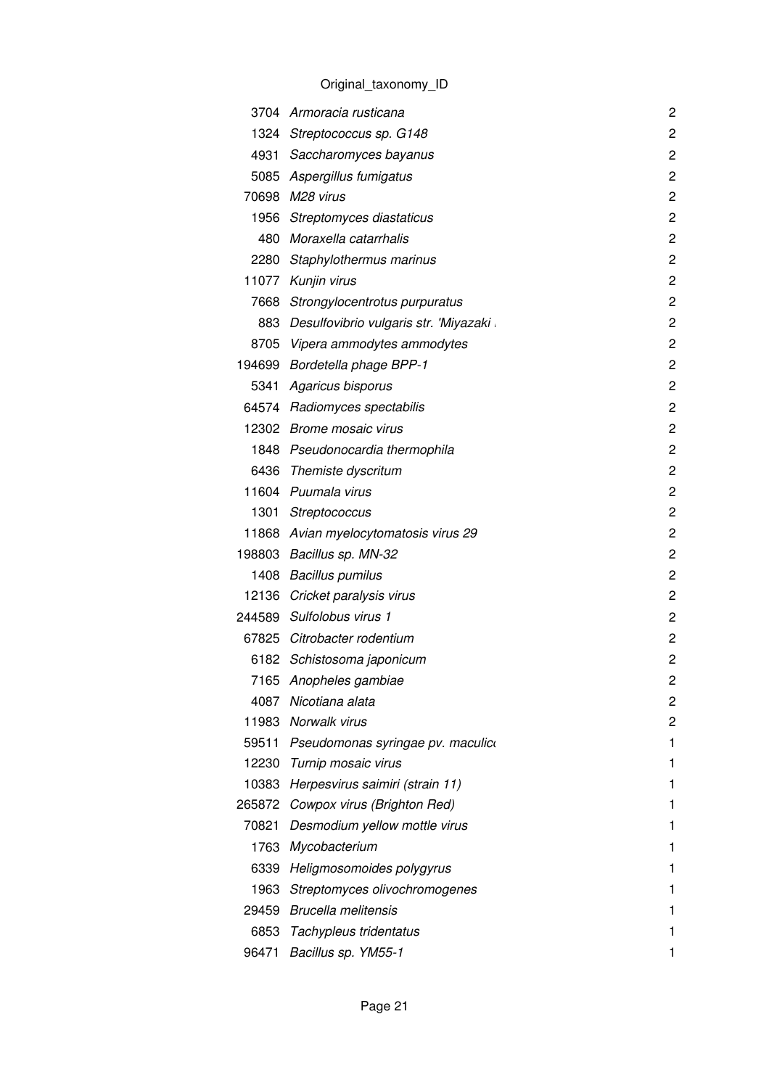|        | 3704 Armoracia rusticana                    | $\overline{c}$ |
|--------|---------------------------------------------|----------------|
|        | 1324 Streptococcus sp. G148                 | $\overline{c}$ |
|        | 4931 Saccharomyces bayanus                  | $\overline{c}$ |
|        | 5085 Aspergillus fumigatus                  | $\overline{c}$ |
|        | 70698 M28 virus                             | $\overline{c}$ |
|        | 1956 Streptomyces diastaticus               | $\overline{c}$ |
|        | 480 Moraxella catarrhalis                   | $\overline{c}$ |
|        | 2280 Staphylothermus marinus                | $\overline{c}$ |
|        | 11077 Kunjin virus                          | $\overline{c}$ |
|        | 7668 Strongylocentrotus purpuratus          | $\overline{c}$ |
|        | 883 Desulfovibrio vulgaris str. 'Miyazaki . | 2              |
|        | 8705 Vipera ammodytes ammodytes             | $\overline{c}$ |
|        | 194699 Bordetella phage BPP-1               | $\overline{c}$ |
|        | 5341 Agaricus bisporus                      | $\overline{c}$ |
|        | 64574 Radiomyces spectabilis                | $\overline{2}$ |
|        | 12302 Brome mosaic virus                    | $\overline{c}$ |
|        | 1848 Pseudonocardia thermophila             | $\overline{c}$ |
|        | 6436 Themiste dyscritum                     | $\overline{c}$ |
|        | 11604 Puumala virus                         | $\overline{c}$ |
|        | 1301 Streptococcus                          | $\overline{c}$ |
|        | 11868 Avian myelocytomatosis virus 29       | $\overline{c}$ |
|        | 198803 Bacillus sp. MN-32                   | $\overline{c}$ |
|        | 1408 Bacillus pumilus                       | $\overline{c}$ |
|        | 12136 Cricket paralysis virus               | $\overline{c}$ |
|        | 244589 Sulfolobus virus 1                   | 2              |
|        | 67825 Citrobacter rodentium                 | $\overline{c}$ |
|        | 6182 Schistosoma japonicum                  | 2              |
| 7165   | Anopheles gambiae                           | $\overline{c}$ |
| 4087   | Nicotiana alata                             | 2              |
|        | 11983 Norwalk virus                         | 2              |
| 59511  | Pseudomonas syringae pv. maculico           | 1              |
|        | 12230 Turnip mosaic virus                   | 1              |
|        | 10383 Herpesvirus saimiri (strain 11)       | 1              |
| 265872 | Cowpox virus (Brighton Red)                 | 1              |
| 70821  | Desmodium yellow mottle virus               |                |
|        | 1763 Mycobacterium                          | 1              |
| 6339   | Heligmosomoides polygyrus                   |                |
|        | 1963 Streptomyces olivochromogenes          |                |
|        | 29459 Brucella melitensis                   | 1              |
| 6853   | Tachypleus tridentatus                      |                |
| 96471  | Bacillus sp. YM55-1                         |                |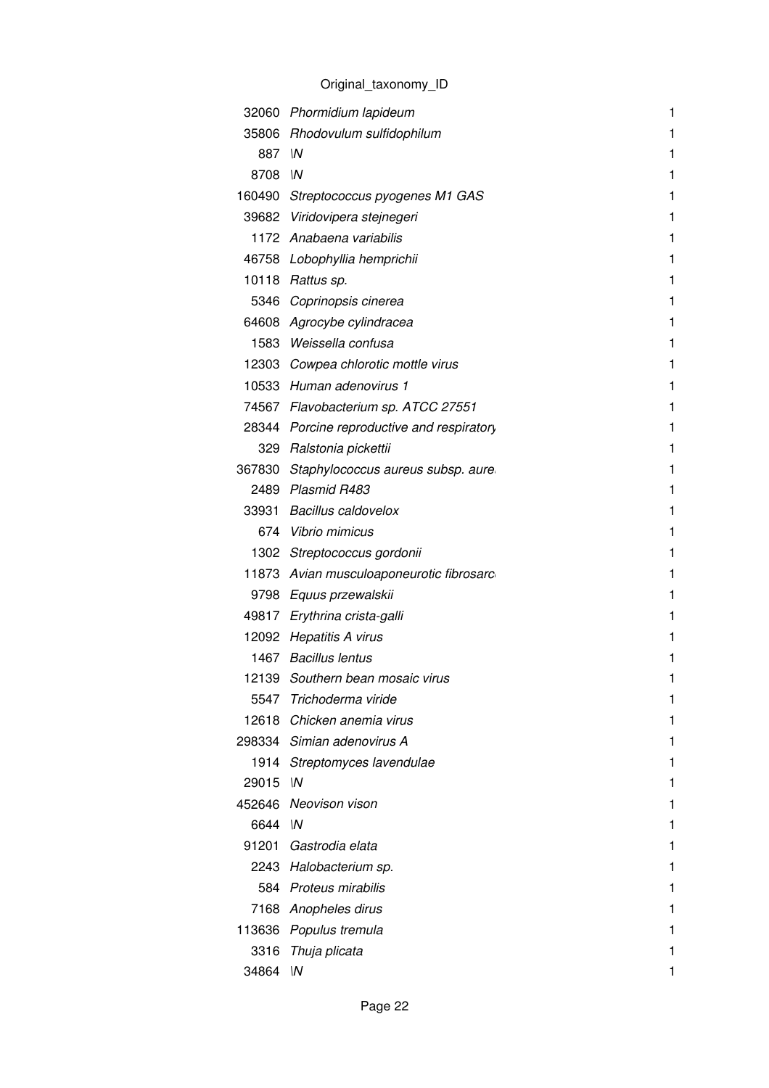|          | 32060 Phormidium lapideum                  | 1 |
|----------|--------------------------------------------|---|
|          | 35806 Rhodovulum sulfidophilum             | 1 |
| 887 IN   |                                            | 1 |
| 8708 IN  |                                            | 1 |
|          | 160490 Streptococcus pyogenes M1 GAS       | 1 |
|          | 39682 Viridovipera stejnegeri              | 1 |
|          | 1172 Anabaena variabilis                   | 1 |
|          | 46758 Lobophyllia hemprichii               | 1 |
|          | 10118 Rattus sp.                           | 1 |
|          | 5346 Coprinopsis cinerea                   | 1 |
|          | 64608 Agrocybe cylindracea                 | 1 |
|          | 1583 Weissella confusa                     | 1 |
|          | 12303 Cowpea chlorotic mottle virus        | 1 |
|          | 10533 Human adenovirus 1                   | 1 |
|          | 74567 Flavobacterium sp. ATCC 27551        | 1 |
|          | 28344 Porcine reproductive and respiratory | 1 |
|          | 329 Ralstonia pickettii                    | 1 |
|          | 367830 Staphylococcus aureus subsp. aure   | 1 |
|          | 2489 Plasmid R483                          | 1 |
|          | 33931 Bacillus caldovelox                  | 1 |
|          | 674 Vibrio mimicus                         | 1 |
|          | 1302 Streptococcus gordonii                | 1 |
|          | 11873 Avian musculoaponeurotic fibrosarc   | 1 |
|          | 9798 Equus przewalskii                     | 1 |
|          | 49817 Erythrina crista-galli               | 1 |
|          | 12092 Hepatitis A virus                    | 1 |
|          | 1467 Bacillus lentus                       | 1 |
|          | 12139 Southern bean mosaic virus           |   |
| 5547     | Trichoderma viride                         | 1 |
|          | 12618 Chicken anemia virus                 |   |
|          | 298334 Simian adenovirus A                 |   |
| 1914     | Streptomyces lavendulae                    |   |
| 29015    | W                                          |   |
|          | 452646 Neovison vison                      |   |
| 6644 IN  |                                            |   |
|          | 91201 Gastrodia elata                      |   |
|          | 2243 Halobacterium sp.                     |   |
|          | 584 Proteus mirabilis                      |   |
|          | 7168 Anopheles dirus                       |   |
| 113636   | Populus tremula                            |   |
| 3316     | Thuja plicata                              |   |
| 34864 IN |                                            |   |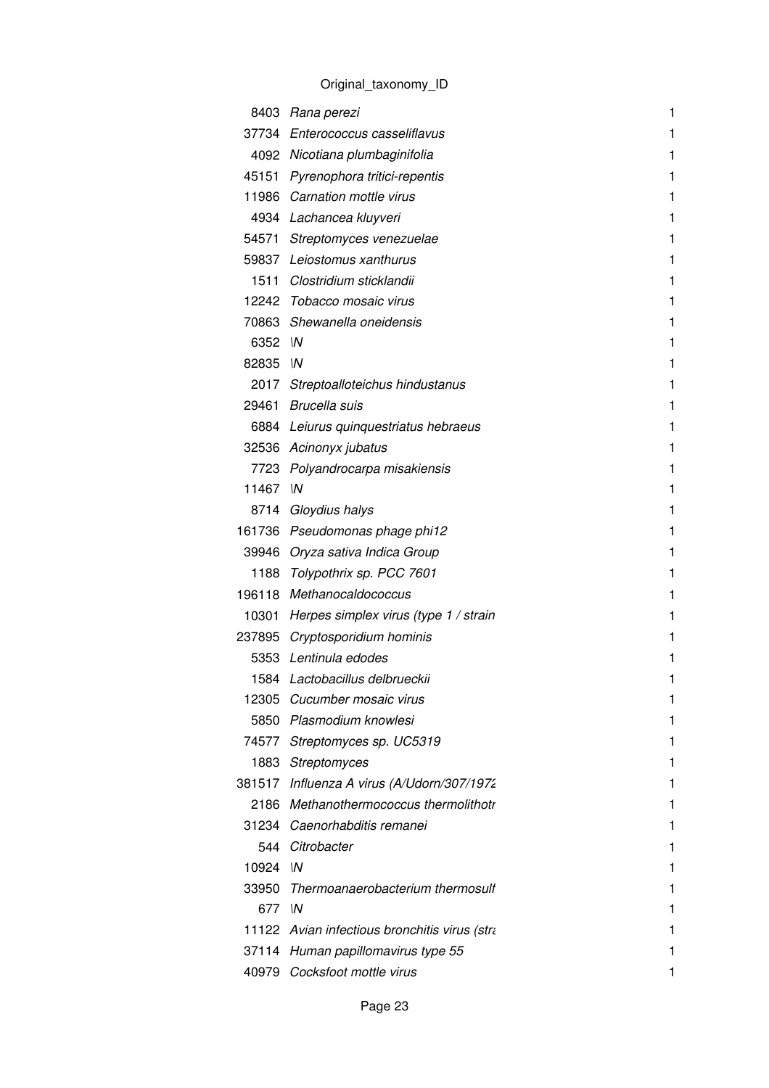|          | 8403 Rana perezi                              | 1 |
|----------|-----------------------------------------------|---|
|          | 37734 Enterococcus casseliflavus              | 1 |
|          | 4092 Nicotiana plumbaginifolia                | 1 |
|          | 45151 Pyrenophora tritici-repentis            | 1 |
|          | 11986 Carnation mottle virus                  | 1 |
|          | 4934 Lachancea kluyveri                       | 1 |
|          | 54571 Streptomyces venezuelae                 | 1 |
|          | 59837 Leiostomus xanthurus                    | 1 |
|          | 1511 Clostridium sticklandii                  | 1 |
|          | 12242 Tobacco mosaic virus                    | 1 |
|          | 70863 Shewanella oneidensis                   | 1 |
| 6352 M   |                                               | 1 |
| 82835 IN |                                               | 1 |
|          | 2017 Streptoalloteichus hindustanus           | 1 |
|          | 29461 Brucella suis                           | 1 |
|          | 6884 Leiurus quinquestriatus hebraeus         | 1 |
|          | 32536 Acinonyx jubatus                        | 1 |
|          | 7723 Polyandrocarpa misakiensis               | 1 |
| 11467    | $\mathsf{M}$                                  | 1 |
|          | 8714 Gloydius halys                           | 1 |
|          | 161736 Pseudomonas phage phi12                | 1 |
|          | 39946 Oryza sativa Indica Group               | 1 |
|          | 1188 Tolypothrix sp. PCC 7601                 | 1 |
|          | 196118 Methanocaldococcus                     | 1 |
|          | 10301 Herpes simplex virus (type 1 / strain   | 1 |
|          | 237895 Cryptosporidium hominis                | 1 |
|          | 5353 Lentinula edodes                         | 1 |
|          | 1584 Lactobacillus delbrueckii                |   |
|          | 12305 Cucumber mosaic virus                   | 1 |
|          | 5850 Plasmodium knowlesi                      | 1 |
|          | 74577 Streptomyces sp. UC5319                 | 1 |
|          | 1883 Streptomyces                             | 1 |
|          | 381517 Influenza A virus (A/Udorn/307/1972    | 1 |
|          | 2186 Methanothermococcus thermolithotr        | 1 |
|          | 31234 Caenorhabditis remanei                  | 1 |
|          | 544 Citrobacter                               | 1 |
| 10924 M  |                                               | 1 |
|          | 33950 Thermoanaerobacterium thermosulf        | 1 |
| 677 IN   |                                               | 1 |
|          | 11122 Avian infectious bronchitis virus (stra | 1 |
|          | 37114 Human papillomavirus type 55            |   |
|          | 40979 Cocksfoot mottle virus                  |   |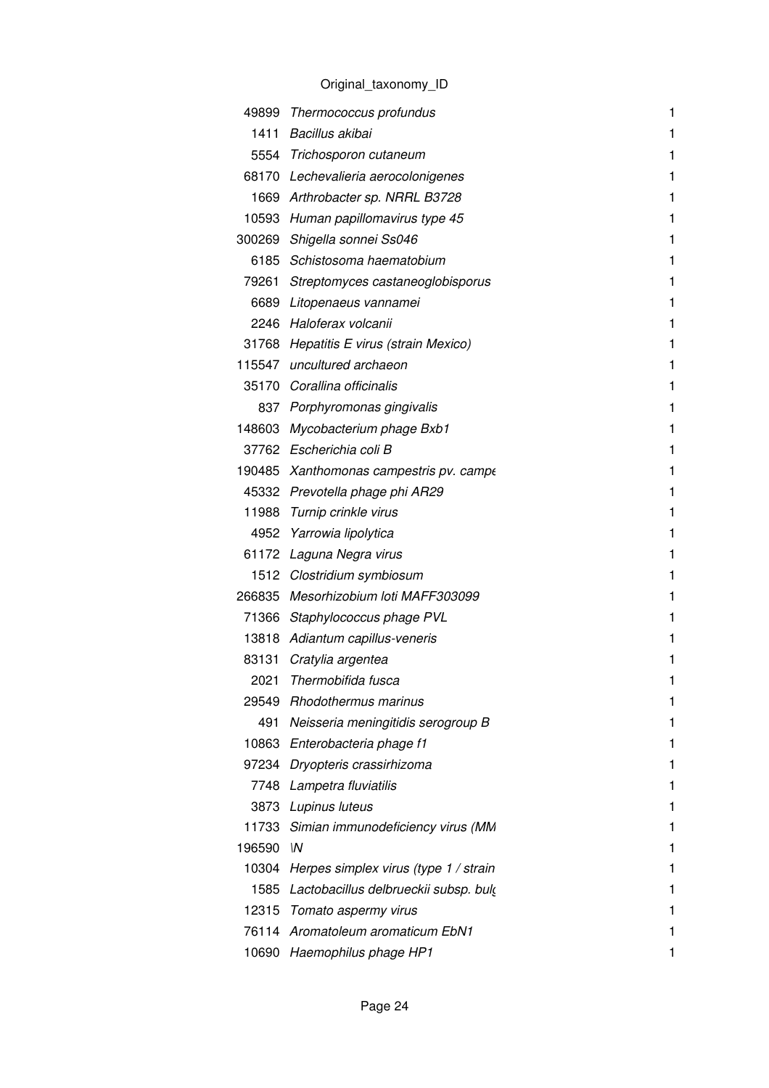| 49899  | Thermococcus profundus<br>Bacillus akibai           | 1 |
|--------|-----------------------------------------------------|---|
| 1411   |                                                     | 1 |
|        | 5554 Trichosporon cutaneum                          | 1 |
|        | 68170 Lechevalieria aerocolonigenes                 | 1 |
|        | 1669 Arthrobacter sp. NRRL B3728                    | 1 |
| 10593  | Human papillomavirus type 45                        | 1 |
|        | 300269 Shigella sonnei Ss046                        | 1 |
|        | 6185 Schistosoma haematobium                        | 1 |
| 79261  | Streptomyces castaneoglobisporus                    | 1 |
| 6689   | Litopenaeus vannamei                                | 1 |
|        | 2246 Haloferax volcanii                             | 1 |
|        | 31768 Hepatitis E virus (strain Mexico)             | 1 |
|        | 115547 uncultured archaeon                          | 1 |
|        | 35170 Corallina officinalis                         | 1 |
|        | 837 Porphyromonas gingivalis                        | 1 |
| 148603 | Mycobacterium phage Bxb1                            | 1 |
|        | 37762 Escherichia coli B                            | 1 |
|        | 190485 Xanthomonas campestris pv. campe             | 1 |
|        | 45332 Prevotella phage phi AR29                     | 1 |
| 11988  | Turnip crinkle virus                                | 1 |
| 4952   | Yarrowia lipolytica                                 | 1 |
|        | 61172 Laguna Negra virus                            | 1 |
|        | 1512 Clostridium symbiosum                          | 1 |
|        | 266835 Mesorhizobium loti MAFF303099                | 1 |
|        | 71366 Staphylococcus phage PVL                      | 1 |
| 13818  | Adiantum capillus-veneris                           | 1 |
| 83131  | Cratylia argentea                                   | 1 |
| 2021   | Thermobifida fusca                                  |   |
| 29549  | <b>Rhodothermus marinus</b>                         | 1 |
| 491    | Neisseria meningitidis serogroup B                  |   |
|        | 10863 Enterobacteria phage f1                       | 1 |
| 97234  | Dryopteris crassirhizoma                            | 1 |
| 7748   | Lampetra fluviatilis                                | 1 |
| 3873   | Lupinus luteus                                      | 1 |
|        | 11733 Simian immunodeficiency virus (MM             | 1 |
| 196590 | $\mathsf{M}$                                        |   |
| 10304  | Herpes simplex virus (type 1 / strain               | 1 |
|        | 1585 Lactobacillus delbrueckii subsp. buly          | 1 |
| 12315  |                                                     | 1 |
| 76114  | Tomato aspermy virus<br>Aromatoleum aromaticum EbN1 |   |
|        |                                                     |   |
|        | 10690 Haemophilus phage HP1                         |   |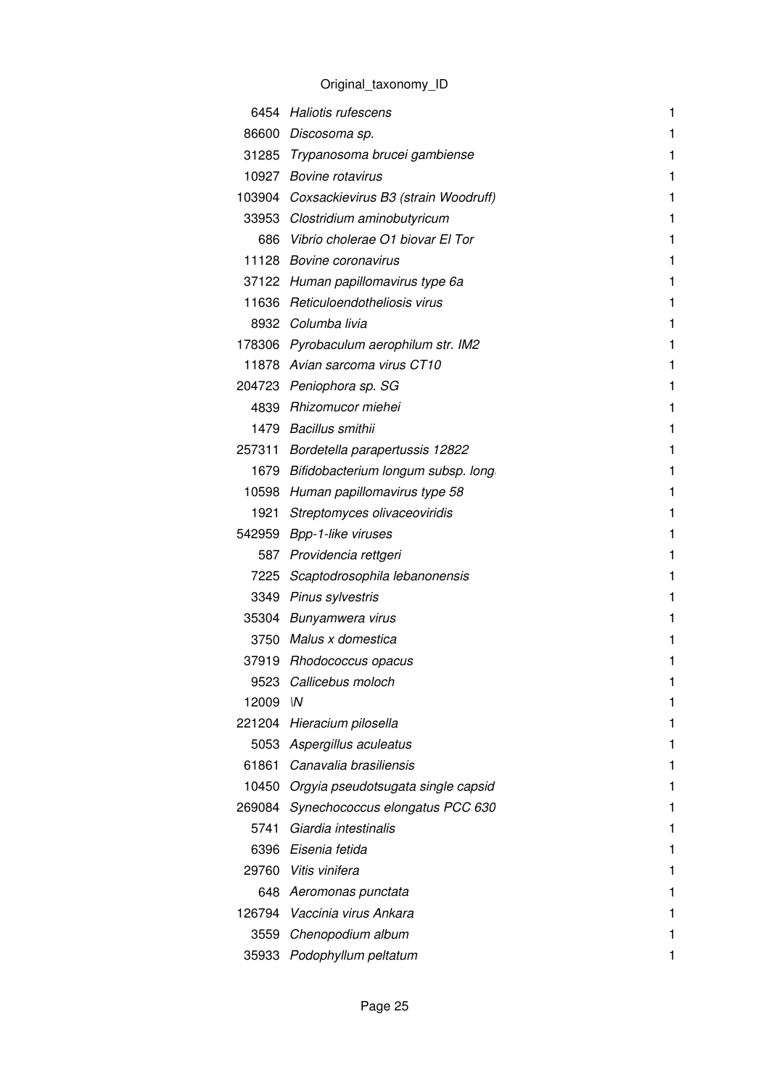|        | 6454 Haliotis rufescens                    | 1 |
|--------|--------------------------------------------|---|
|        | 86600 Discosoma sp.                        | 1 |
|        | 31285 Trypanosoma brucei gambiense         | 1 |
|        | 10927 Bovine rotavirus                     | 1 |
|        | 103904 Coxsackievirus B3 (strain Woodruff) | 1 |
|        | 33953 Clostridium aminobutyricum           | 1 |
|        | 686 Vibrio cholerae O1 biovar El Tor       | 1 |
|        | 11128 Bovine coronavirus                   | 1 |
|        | 37122 Human papillomavirus type 6a         | 1 |
|        | 11636 Reticuloendotheliosis virus          | 1 |
|        | 8932 Columba livia                         | 1 |
|        | 178306 Pyrobaculum aerophilum str. IM2     | 1 |
|        | 11878 Avian sarcoma virus CT10             | 1 |
|        | 204723 Peniophora sp. SG                   | 1 |
|        | 4839 Rhizomucor miehei                     | 1 |
|        | 1479 Bacillus smithii                      | 1 |
|        | 257311 Bordetella parapertussis 12822      | 1 |
|        | 1679 Bifidobacterium longum subsp. long    | 1 |
|        | 10598 Human papillomavirus type 58         | 1 |
|        | 1921 Streptomyces olivaceoviridis          | 1 |
|        | 542959 Bpp-1-like viruses                  | 1 |
|        | 587 Providencia rettgeri                   | 1 |
|        | 7225 Scaptodrosophila lebanonensis         | 1 |
|        | 3349 Pinus sylvestris                      | 1 |
|        | 35304 Bunyamwera virus                     | 1 |
|        | 3750 Malus x domestica                     | 1 |
|        | 37919 Rhodococcus opacus                   | 1 |
|        | 9523 Callicebus moloch                     |   |
| 12009  | W                                          |   |
|        | 221204 Hieracium pilosella                 |   |
|        | 5053 Aspergillus aculeatus                 |   |
| 61861  | Canavalia brasiliensis                     | 1 |
| 10450  | Orgyia pseudotsugata single capsid         |   |
| 269084 | Synechococcus elongatus PCC 630            |   |
| 5741   | Giardia intestinalis                       |   |
|        | 6396 Eisenia fetida                        |   |
| 29760  | Vitis vinifera                             |   |
|        | 648 Aeromonas punctata                     |   |
| 126794 | Vaccinia virus Ankara                      | 1 |
| 3559   | Chenopodium album                          |   |
|        | 35933 Podophyllum peltatum                 |   |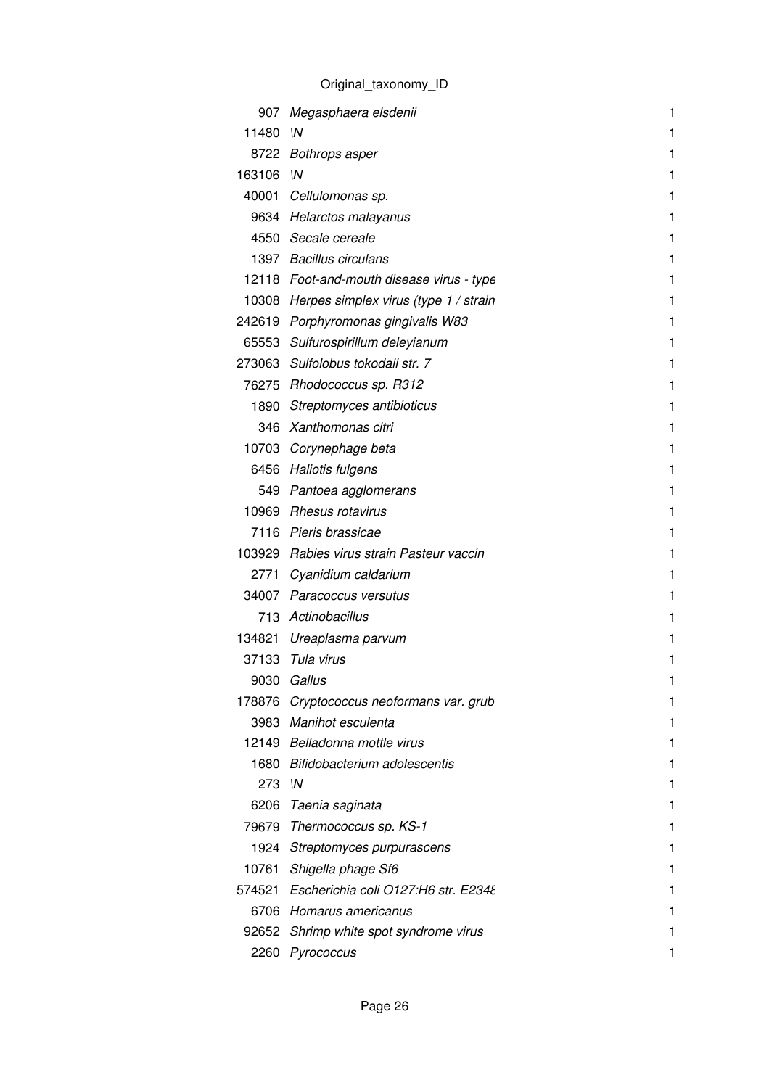|        | 907 Megasphaera elsdenii                    | 1 |
|--------|---------------------------------------------|---|
| 11480  | $\mathsf{M}$                                | 1 |
|        | 8722 Bothrops asper                         | 1 |
| 163106 | $\mathsf{M}$                                | 1 |
|        | 40001 Cellulomonas sp.                      | 1 |
|        | 9634 Helarctos malayanus                    |   |
|        | 4550 Secale cereale                         | 1 |
|        | 1397 Bacillus circulans                     | 1 |
|        | 12118 Foot-and-mouth disease virus - type   |   |
|        | 10308 Herpes simplex virus (type 1 / strain | 1 |
|        | 242619 Porphyromonas gingivalis W83         | 1 |
|        | 65553 Sulfurospirillum deleyianum           | 1 |
|        | 273063 Sulfolobus tokodaji str. 7           | 1 |
|        | 76275 Rhodococcus sp. R312                  | 1 |
|        | 1890 Streptomyces antibioticus              | 1 |
|        | 346 Xanthomonas citri                       |   |
|        | 10703 Corynephage beta                      | 1 |
|        | 6456 Haliotis fulgens                       | 1 |
|        | 549 Pantoea agglomerans                     | 1 |
|        | 10969 Rhesus rotavirus                      |   |
|        | 7116 Pieris brassicae                       | 1 |
|        | 103929 Rabies virus strain Pasteur vaccin   | 1 |
|        | 2771 Cyanidium caldarium                    | 1 |
|        | 34007 Paracoccus versutus                   | 1 |
|        | 713 Actinobacillus                          |   |
|        | 134821 Ureaplasma parvum                    | 1 |
|        | 37133 Tula virus                            | 1 |
| 9030   | Gallus                                      |   |
| 178876 | Cryptococcus neoformans var. grub.          |   |
|        | 3983 Manihot esculenta                      |   |
|        | 12149 Belladonna mottle virus               |   |
|        | 1680 Bifidobacterium adolescentis           |   |
| 273 IN |                                             |   |
| 6206   | Taenia saginata                             |   |
|        | 79679 Thermococcus sp. KS-1                 |   |
|        | 1924 Streptomyces purpurascens              | 1 |
| 10761  | Shigella phage Sf6                          |   |
|        | 574521 Escherichia coli O127:H6 str. E2348  |   |
|        | 6706 Homarus americanus                     |   |
| 92652  | Shrimp white spot syndrome virus            |   |
| 2260   | Pyrococcus                                  |   |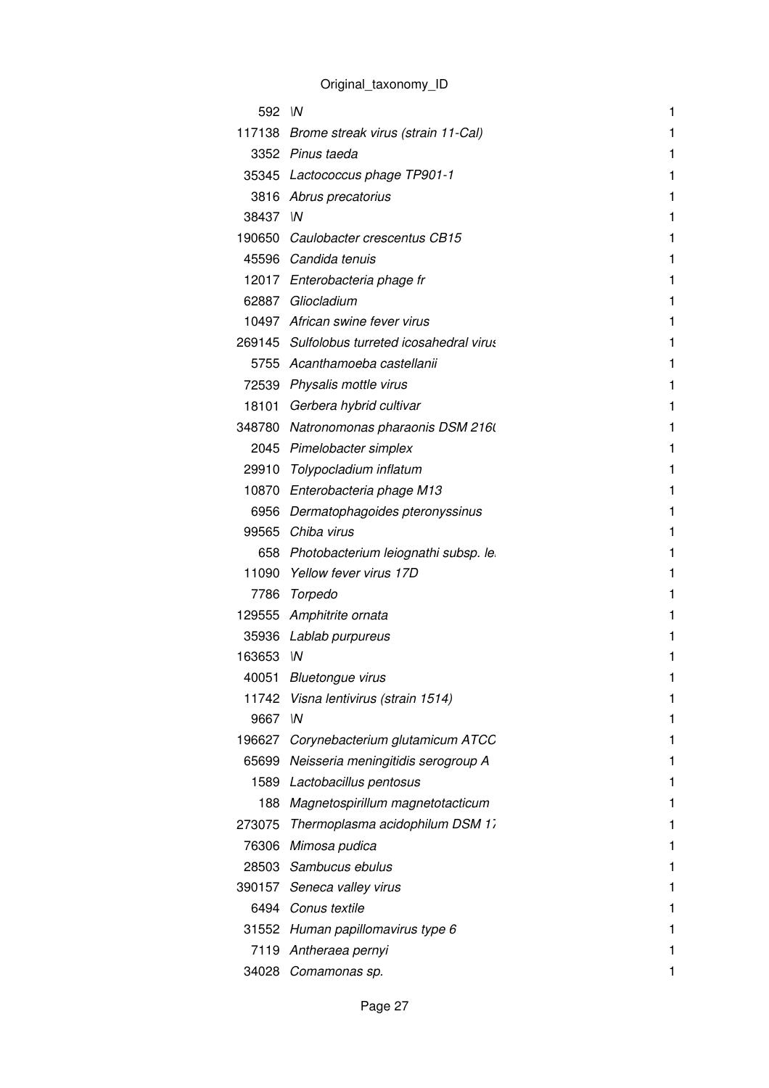| 592 IN   |                                              | 1 |
|----------|----------------------------------------------|---|
|          | 117138 Brome streak virus (strain 11-Cal)    | 1 |
|          | 3352 Pinus taeda                             | 1 |
|          | 35345 Lactococcus phage TP901-1              | 1 |
|          | 3816 Abrus precatorius                       | 1 |
| 38437 IN |                                              | 1 |
|          | 190650 Caulobacter crescentus CB15           | 1 |
|          | 45596 Candida tenuis                         | 1 |
|          | 12017 Enterobacteria phage fr                | 1 |
|          | 62887 Gliocladium                            | 1 |
|          | 10497 African swine fever virus              | 1 |
|          | 269145 Sulfolobus turreted icosahedral virus | 1 |
|          | 5755 Acanthamoeba castellanii                | 1 |
|          | 72539 Physalis mottle virus                  | 1 |
|          | 18101 Gerbera hybrid cultivar                | 1 |
|          | 348780 Natronomonas pharaonis DSM 2160       | 1 |
|          | 2045 Pimelobacter simplex                    | 1 |
|          | 29910 Tolypocladium inflatum                 | 1 |
|          | 10870 Enterobacteria phage M13               | 1 |
|          | 6956 Dermatophagoides pteronyssinus          | 1 |
|          | 99565 Chiba virus                            | 1 |
|          | 658 Photobacterium leiognathi subsp. le      | 1 |
|          | 11090 Yellow fever virus 17D                 | 1 |
|          | 7786 Torpedo                                 | 1 |
|          | 129555 Amphitrite ornata                     | 1 |
|          | 35936 Lablab purpureus                       | 1 |
| 163653   | $\mathsf{M}$                                 | 1 |
|          | 40051 Bluetongue virus                       | 1 |
|          | 11742 Visna lentivirus (strain 1514)         | 1 |
| 9667     | W                                            | 1 |
|          | 196627 Corynebacterium glutamicum ATCC       | 1 |
| 65699    | Neisseria meningitidis serogroup A           | 1 |
|          | 1589 Lactobacillus pentosus                  | 1 |
|          | 188 Magnetospirillum magnetotacticum         | 1 |
| 273075   | Thermoplasma acidophilum DSM 17              | 1 |
|          | 76306 Mimosa pudica                          | 1 |
|          | 28503 Sambucus ebulus                        | 1 |
| 390157   | Seneca valley virus                          | 1 |
|          | 6494 Conus textile                           | 1 |
|          | 31552 Human papillomavirus type 6            | 1 |
| 7119     | Antheraea pernyi                             | 1 |
| 34028    | Comamonas sp.                                | 1 |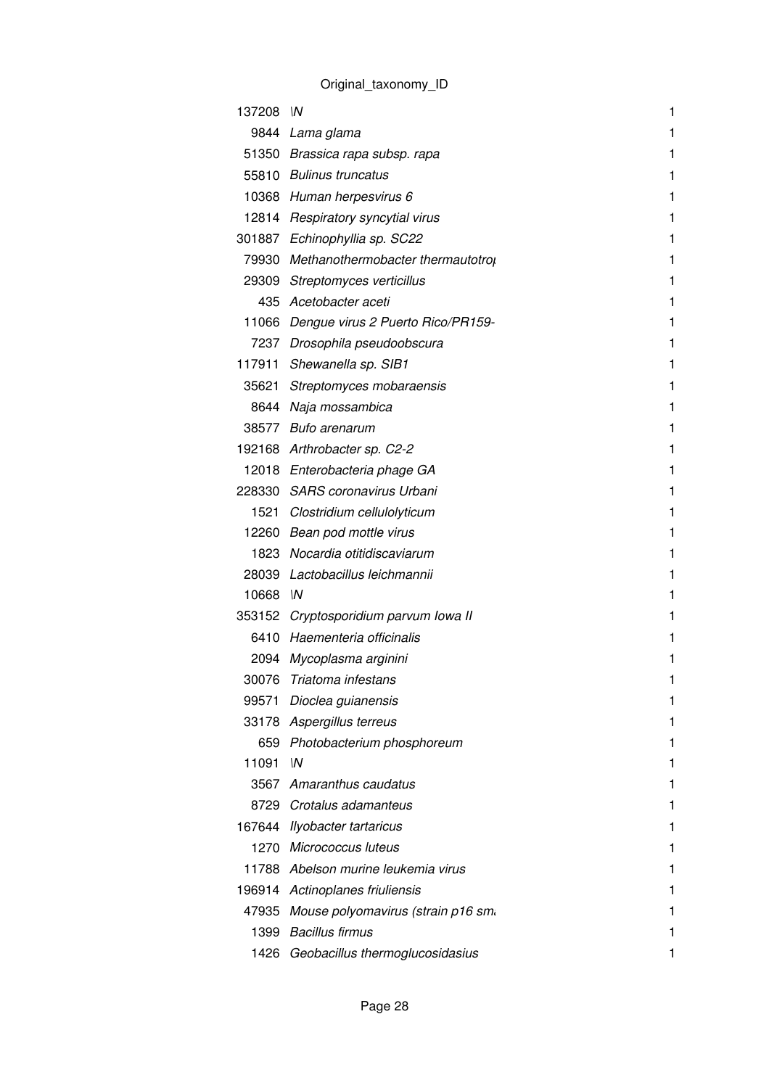| 137208 IN |                                          | 1 |
|-----------|------------------------------------------|---|
|           | 9844 Lama glama                          | 1 |
|           | 51350 Brassica rapa subsp. rapa          | 1 |
|           | 55810 Bulinus truncatus                  | 1 |
|           | 10368 Human herpesvirus 6                | 1 |
|           | 12814 Respiratory syncytial virus        | 1 |
|           | 301887 Echinophyllia sp. SC22            | 1 |
|           | 79930 Methanothermobacter thermautotrol  | 1 |
|           | 29309 Streptomyces verticillus           | 1 |
|           | 435 Acetobacter aceti                    | 1 |
|           | 11066 Dengue virus 2 Puerto Rico/PR159-  | 1 |
|           | 7237 Drosophila pseudoobscura            | 1 |
|           | 117911 Shewanella sp. SIB1               | 1 |
|           | 35621 Streptomyces mobaraensis           | 1 |
|           | 8644 Naja mossambica                     | 1 |
|           | 38577 Bufo arenarum                      | 1 |
|           | 192168 Arthrobacter sp. C2-2             | 1 |
|           | 12018 Enterobacteria phage GA            | 1 |
|           | 228330 SARS coronavirus Urbani           | 1 |
|           | 1521 Clostridium cellulolyticum          | 1 |
|           | 12260 Bean pod mottle virus              | 1 |
|           | 1823 Nocardia otitidiscaviarum           | 1 |
|           | 28039 Lactobacillus leichmannii          | 1 |
| 10668 IN  |                                          | 1 |
|           | 353152 Cryptosporidium parvum Iowa II    | 1 |
|           | 6410 Haementeria officinalis             | 1 |
|           | 2094 Mycoplasma arginini                 | 1 |
|           | 30076 Triatoma infestans                 | 1 |
| 99571     | Dioclea guianensis                       | 1 |
|           | 33178 Aspergillus terreus                | 1 |
|           | 659 Photobacterium phosphoreum           | 1 |
| 11091     | W                                        | 1 |
|           | 3567 Amaranthus caudatus                 | 1 |
|           | 8729 Crotalus adamanteus                 | 1 |
|           | 167644 Ilyobacter tartaricus             | 1 |
|           | 1270 Micrococcus luteus                  | 1 |
|           | 11788 Abelson murine leukemia virus      | 1 |
|           | 196914 Actinoplanes friuliensis          | 1 |
|           | 47935 Mouse polyomavirus (strain p16 sm. | 1 |
| 1399      | <b>Bacillus firmus</b>                   | 1 |
|           | 1426 Geobacillus thermoglucosidasius     |   |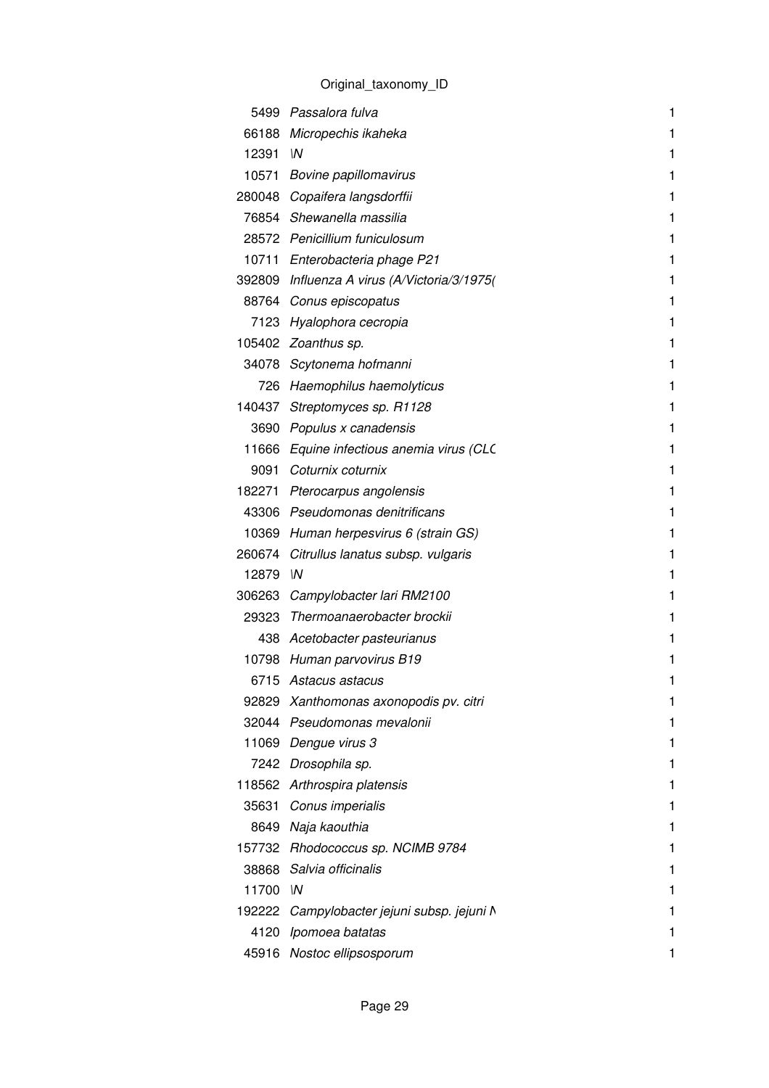|        | 5499 Passalora fulva                         | 1 |
|--------|----------------------------------------------|---|
|        | 66188 Micropechis ikaheka                    | 1 |
| 12391  | $\mathsf{M}$                                 | 1 |
|        | 10571 Bovine papillomavirus                  | 1 |
|        | 280048 Copaifera langsdorffii                | 1 |
|        | 76854 Shewanella massilia                    | 1 |
|        | 28572 Penicillium funiculosum                | 1 |
|        | 10711 Enterobacteria phage P21               | 1 |
|        | 392809 Influenza A virus (A/Victoria/3/1975) | 1 |
|        | 88764 Conus episcopatus                      | 1 |
|        | 7123 Hyalophora cecropia                     | 1 |
|        | 105402 Zoanthus sp.                          | 1 |
|        | 34078 Scytonema hofmanni                     | 1 |
|        | 726 Haemophilus haemolyticus                 | 1 |
|        | 140437 Streptomyces sp. R1128                | 1 |
| 3690   | Populus x canadensis                         | 1 |
|        | 11666 Equine infectious anemia virus (CLC    | 1 |
|        | 9091 Coturnix coturnix                       | 1 |
|        | 182271 Pterocarpus angolensis                | 1 |
|        | 43306 Pseudomonas denitrificans              | 1 |
| 10369  | Human herpesvirus 6 (strain GS)              | 1 |
| 260674 | Citrullus lanatus subsp. vulgaris            | 1 |
| 12879  | $\mathsf{M}$                                 | 1 |
|        | 306263 Campylobacter lari RM2100             | 1 |
| 29323  | Thermoanaerobacter brockii                   | 1 |
|        | 438 Acetobacter pasteurianus                 | 1 |
| 10798  | Human parvovirus B19                         | 1 |
|        | 6715 Astacus astacus                         | 1 |
| 92829  | Xanthomonas axonopodis pv. citri             | 1 |
|        | 32044 Pseudomonas mevalonii                  | 1 |
| 11069  | Dengue virus 3                               | 1 |
| 7242   | Drosophila sp.                               | 1 |
|        | 118562 Arthrospira platensis                 | 1 |
|        | 35631 Conus imperialis                       | 1 |
|        | 8649 Naja kaouthia                           | 1 |
|        | 157732 Rhodococcus sp. NCIMB 9784            | 1 |
| 38868  | Salvia officinalis                           | 1 |
| 11700  | $\mathsf{M}$                                 | 1 |
|        | 192222 Campylobacter jejuni subsp. jejuni N  | 1 |
| 4120   | Ipomoea batatas                              | 1 |
| 45916  | Nostoc ellipsosporum                         | 1 |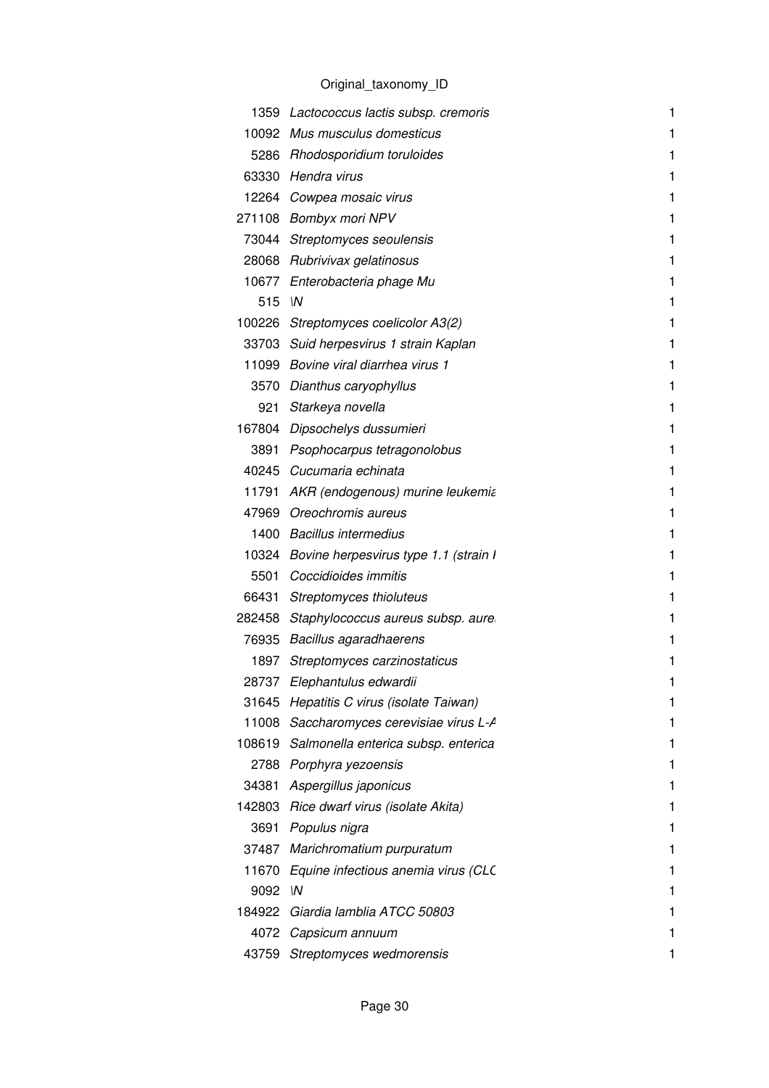|        | 1359 Lactococcus lactis subsp. cremoris     | 1 |
|--------|---------------------------------------------|---|
| 10092  | Mus musculus domesticus                     | 1 |
|        | 5286 Rhodosporidium toruloides              | 1 |
|        | 63330 Hendra virus                          | 1 |
|        | 12264 Cowpea mosaic virus                   | 1 |
|        | 271108 Bombyx mori NPV                      | 1 |
|        | 73044 Streptomyces seoulensis               | 1 |
|        | 28068 Rubrivivax gelatinosus                | 1 |
|        | 10677 Enterobacteria phage Mu               | 1 |
| 515    | $\mathsf{M}$                                | 1 |
|        | 100226 Streptomyces coelicolor A3(2)        | 1 |
|        | 33703 Suid herpesvirus 1 strain Kaplan      | 1 |
|        | 11099 Bovine viral diarrhea virus 1         | 1 |
|        | 3570 Dianthus caryophyllus                  | 1 |
|        | 921 Starkeya novella                        | 1 |
|        | 167804 Dipsochelys dussumieri               | 1 |
|        | 3891 Psophocarpus tetragonolobus            | 1 |
|        | 40245 Cucumaria echinata                    | 1 |
| 11791  | AKR (endogenous) murine leukemia            | 1 |
|        | 47969 Oreochromis aureus                    | 1 |
|        | 1400 Bacillus intermedius                   | 1 |
|        | 10324 Bovine herpesvirus type 1.1 (strain I | 1 |
|        | 5501 Coccidioides immitis                   | 1 |
| 66431  | Streptomyces thioluteus                     | 1 |
|        | 282458 Staphylococcus aureus subsp. aure    | 1 |
|        | 76935 Bacillus agaradhaerens                | 1 |
|        | 1897 Streptomyces carzinostaticus           | 1 |
|        | 28737 Elephantulus edwardii                 |   |
| 31645  | Hepatitis C virus (isolate Taiwan)          | 1 |
| 11008  | Saccharomyces cerevisiae virus L-A          | 1 |
| 108619 | Salmonella enterica subsp. enterica         | 1 |
|        | 2788 Porphyra yezoensis                     | 1 |
| 34381  | Aspergillus japonicus                       | 1 |
|        | 142803 Rice dwarf virus (isolate Akita)     | 1 |
| 3691   | Populus nigra                               | 1 |
| 37487  | Marichromatium purpuratum                   | 1 |
| 11670  | Equine infectious anemia virus (CLC         | 1 |
| 9092   | $\mathsf{M}$                                | 1 |
| 184922 | Giardia lamblia ATCC 50803                  | 1 |
| 4072   | Capsicum annuum                             | 1 |
| 43759  | Streptomyces wedmorensis                    | 1 |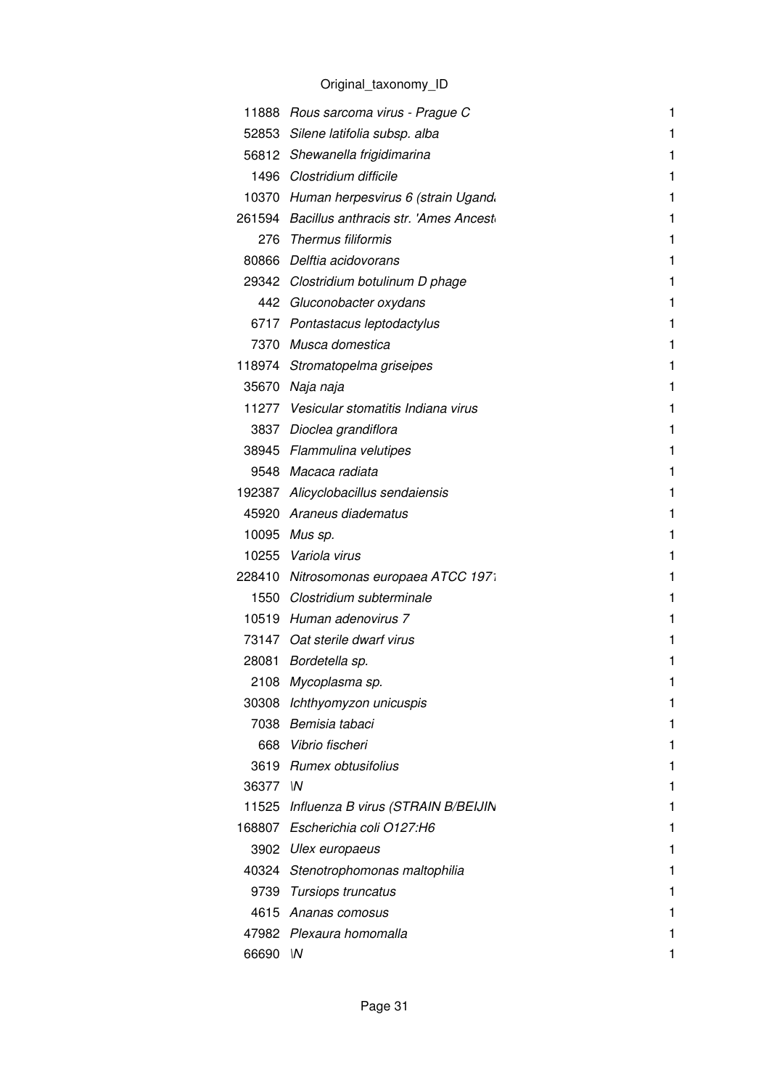|          | 11888 Rous sarcoma virus - Prague C         | 1 |
|----------|---------------------------------------------|---|
|          | 52853 Silene latifolia subsp. alba          | 1 |
|          | 56812 Shewanella frigidimarina              | 1 |
|          | 1496 Clostridium difficile                  | 1 |
|          | 10370 Human herpesvirus 6 (strain Ugand.    | 1 |
|          | 261594 Bacillus anthracis str. 'Ames Ancest | 1 |
|          | 276 Thermus filiformis                      | 1 |
|          | 80866 Delftia acidovorans                   | 1 |
|          | 29342 Clostridium botulinum D phage         | 1 |
|          | 442 Gluconobacter oxydans                   | 1 |
|          | 6717 Pontastacus leptodactylus              | 1 |
|          | 7370 Musca domestica                        | 1 |
|          | 118974 Stromatopelma griseipes              | 1 |
|          | 35670 Naja naja                             | 1 |
|          | 11277 Vesicular stomatitis Indiana virus    | 1 |
|          | 3837 Dioclea grandiflora                    | 1 |
|          | 38945 Flammulina velutipes                  | 1 |
|          | 9548 Macaca radiata                         | 1 |
|          | 192387 Alicyclobacillus sendaiensis         | 1 |
|          | 45920 Araneus diadematus                    | 1 |
|          | 10095 Mus sp.                               | 1 |
|          | 10255 Variola virus                         | 1 |
|          | 228410 Nitrosomonas europaea ATCC 1971      | 1 |
|          | 1550 Clostridium subterminale               | 1 |
|          | 10519 Human adenovirus 7                    | 1 |
|          | 73147 Oat sterile dwarf virus               | 1 |
|          | 28081 Bordetella sp.                        | 1 |
| 2108     | Mycoplasma sp.                              |   |
|          | 30308 Ichthyomyzon unicuspis                | 1 |
|          | 7038 Bemisia tabaci                         | 1 |
|          | 668 Vibrio fischeri                         | 1 |
|          | 3619 Rumex obtusifolius                     | 1 |
| 36377 IN |                                             | 1 |
|          | 11525 Influenza B virus (STRAIN B/BEIJIN    | 1 |
|          | 168807 Escherichia coli O127:H6             | 1 |
|          | 3902 Ulex europaeus                         | 1 |
| 40324    | Stenotrophomonas maltophilia                | 1 |
|          | 9739 Tursiops truncatus                     |   |
|          | 4615 Ananas comosus                         | 1 |
|          | 47982 Plexaura homomalla                    |   |
| 66690 IN |                                             |   |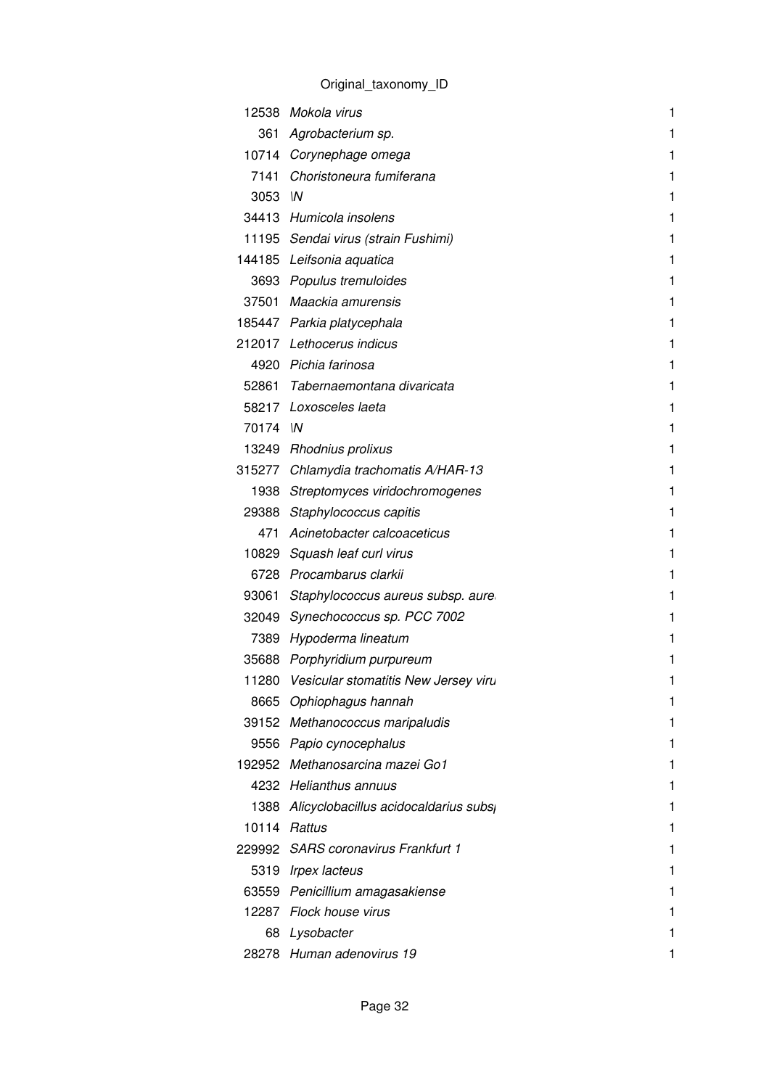|          | 12538 Mokola virus                         | 1 |
|----------|--------------------------------------------|---|
| 361      | Agrobacterium sp.                          | 1 |
|          | 10714 Corynephage omega                    | 1 |
| 7141     | Choristoneura fumiferana                   | 1 |
| 3053 IN  |                                            | 1 |
|          | 34413 Humicola insolens                    | 1 |
|          | 11195 Sendai virus (strain Fushimi)        | 1 |
|          | 144185 Leifsonia aquatica                  | 1 |
|          | 3693 Populus tremuloides                   | 1 |
|          | 37501 Maackia amurensis                    | 1 |
|          | 185447 Parkia platycephala                 | 1 |
|          | 212017 Lethocerus indicus                  | 1 |
|          | 4920 Pichia farinosa                       | 1 |
|          | 52861 Tabernaemontana divaricata           | 1 |
|          | 58217 Loxosceles laeta                     | 1 |
| 70174 IN |                                            | 1 |
|          | 13249 Rhodnius prolixus                    | 1 |
|          | 315277 Chlamydia trachomatis A/HAR-13      | 1 |
|          | 1938 Streptomyces viridochromogenes        | 1 |
|          | 29388 Staphylococcus capitis               | 1 |
| 471      | Acinetobacter calcoaceticus                | 1 |
|          | 10829 Squash leaf curl virus               | 1 |
|          | 6728 Procambarus clarkii                   | 1 |
| 93061    | Staphylococcus aureus subsp. aure          | 1 |
|          | 32049 Synechococcus sp. PCC 7002           | 1 |
|          | 7389 Hypoderma lineatum                    | 1 |
|          | 35688 Porphyridium purpureum               | 1 |
|          | 11280 Vesicular stomatitis New Jersey viru | 1 |
|          | 8665 Ophiophagus hannah                    | 1 |
|          | 39152 Methanococcus maripaludis            | 1 |
|          | 9556 Papio cynocephalus                    | 1 |
|          | 192952 Methanosarcina mazei Go1            | 1 |
|          | 4232 Helianthus annuus                     | 1 |
|          | 1388 Alicyclobacillus acidocaldarius subs  | 1 |
|          | 10114 Rattus                               | 1 |
|          | 229992 SARS coronavirus Frankfurt 1        | 1 |
|          | 5319 Irpex lacteus                         | 1 |
|          | 63559 Penicillium amagasakiense            | 1 |
|          | 12287 Flock house virus                    | 1 |
| 68       | Lysobacter                                 | 1 |
|          | 28278 Human adenovirus 19                  |   |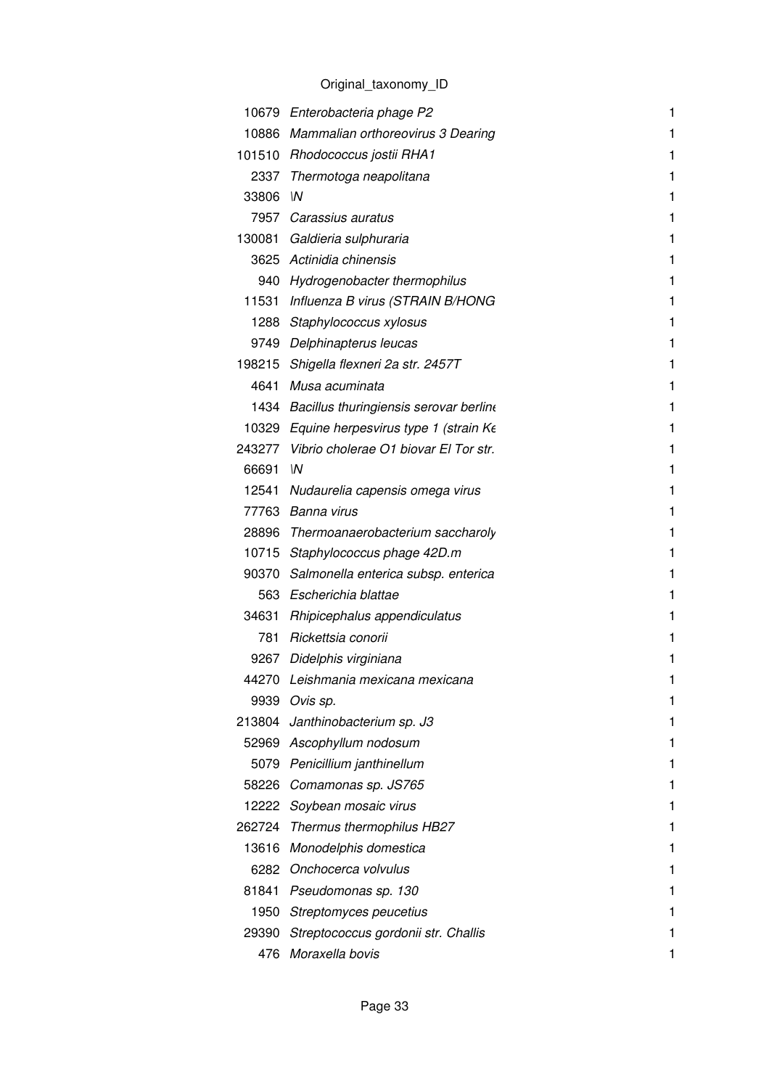|        | 10679 Enterobacteria phage P2                | 1 |
|--------|----------------------------------------------|---|
|        | 10886 Mammalian orthoreovirus 3 Dearing      | 1 |
|        | 101510 Rhodococcus jostii RHA1               | 1 |
|        | 2337 Thermotoga neapolitana                  | 1 |
| 33806  | W                                            | 1 |
|        | 7957 Carassius auratus                       | 1 |
|        | 130081 Galdieria sulphuraria                 | 1 |
|        | 3625 Actinidia chinensis                     | 1 |
|        | 940 Hydrogenobacter thermophilus             | 1 |
|        | 11531 Influenza B virus (STRAIN B/HONG       | 1 |
|        | 1288 Staphylococcus xylosus                  | 1 |
|        | 9749 Delphinapterus leucas                   | 1 |
|        | 198215 Shigella flexneri 2a str. 2457T       | 1 |
|        | 4641 Musa acuminata                          | 1 |
|        | 1434 Bacillus thuringiensis serovar berline  | 1 |
|        | 10329 Equine herpesvirus type 1 (strain Ke   | 1 |
|        | 243277 Vibrio cholerae O1 biovar El Tor str. | 1 |
| 66691  | $\mathsf{M}$                                 | 1 |
|        | 12541 Nudaurelia capensis omega virus        | 1 |
|        | 77763 Banna virus                            | 1 |
|        | 28896 Thermoanaerobacterium saccharoly       | 1 |
|        | 10715 Staphylococcus phage 42D.m             | 1 |
|        | 90370 Salmonella enterica subsp. enterica    | 1 |
|        | 563 Escherichia blattae                      | 1 |
|        | 34631 Rhipicephalus appendiculatus           | 1 |
| 781    | Rickettsia conorii                           | 1 |
|        | 9267 Didelphis virginiana                    | 1 |
|        | 44270 Leishmania mexicana mexicana           |   |
| 9939   | Ovis sp.                                     | 1 |
| 213804 | Janthinobacterium sp. J3                     |   |
|        | 52969 Ascophyllum nodosum                    | 1 |
| 5079   | Penicillium janthinellum                     | 1 |
| 58226  | Comamonas sp. JS765                          | 1 |
| 12222  | Soybean mosaic virus                         | 1 |
| 262724 | Thermus thermophilus HB27                    | 1 |
| 13616  | Monodelphis domestica                        | 1 |
| 6282   | Onchocerca volvulus                          | 1 |
|        | 81841 Pseudomonas sp. 130                    |   |
| 1950   | Streptomyces peucetius                       | 1 |
| 29390  | Streptococcus gordonii str. Challis          | 1 |
| 476    | Moraxella bovis                              | 1 |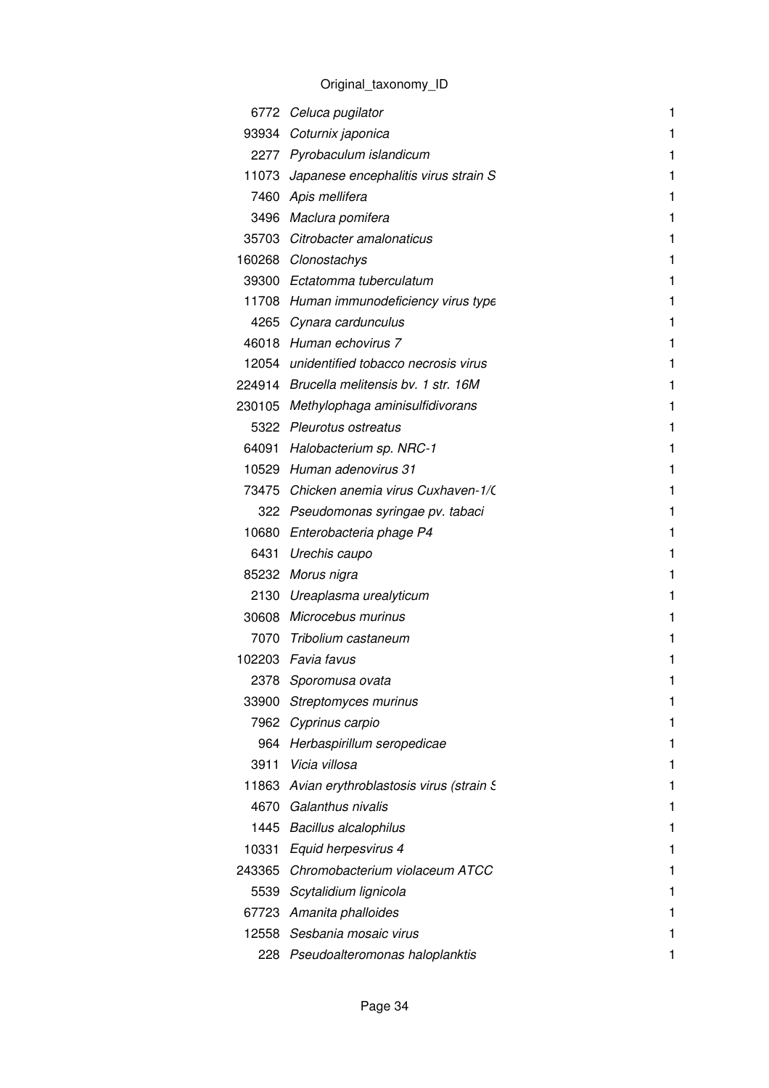|       | 6772 Celuca pugilator                        | 1 |
|-------|----------------------------------------------|---|
|       | 93934 Coturnix japonica                      | 1 |
|       | 2277 Pyrobaculum islandicum                  | 1 |
|       | 11073 Japanese encephalitis virus strain S   | 1 |
|       | 7460 Apis mellifera                          | 1 |
|       | 3496 Maclura pomifera                        |   |
|       | 35703 Citrobacter amalonaticus               | 1 |
|       | 160268 Clonostachys                          | 1 |
|       | 39300 Ectatomma tuberculatum                 | 1 |
|       | 11708 Human immunodeficiency virus type      | 1 |
|       | 4265 Cynara cardunculus                      | 1 |
|       | 46018 Human echovirus 7                      | 1 |
|       | 12054 unidentified tobacco necrosis virus    | 1 |
|       | 224914 Brucella melitensis by. 1 str. 16M    | 1 |
|       | 230105 Methylophaga aminisulfidivorans       | 1 |
|       | 5322 Pleurotus ostreatus                     | 1 |
|       | 64091 Halobacterium sp. NRC-1                | 1 |
|       | 10529 Human adenovirus 31                    | 1 |
|       | 73475 Chicken anemia virus Cuxhaven-1/       | 1 |
|       | 322 Pseudomonas syringae pv. tabaci          |   |
|       | 10680 Enterobacteria phage P4                | 1 |
|       | 6431 Urechis caupo                           | 1 |
|       | 85232 Morus nigra                            | 1 |
|       | 2130 Ureaplasma urealyticum                  | 1 |
|       | 30608 Microcebus murinus                     |   |
|       | 7070 Tribolium castaneum                     | 1 |
|       | 102203 Favia favus                           | 1 |
| 2378  | Sporomusa ovata                              |   |
| 33900 | Streptomyces murinus                         | 1 |
|       | 7962 Cyprinus carpio                         |   |
|       | 964 Herbaspirillum seropedicae               |   |
|       | 3911 Vicia villosa                           |   |
|       | 11863 Avian erythroblastosis virus (strain S | 1 |
|       | 4670 Galanthus nivalis                       |   |
|       | 1445 Bacillus alcalophilus                   |   |
|       | 10331 Equid herpesvirus 4                    |   |
|       | 243365 Chromobacterium violaceum ATCC        | 1 |
|       | 5539 Scytalidium lignicola                   |   |
|       | 67723 Amanita phalloides                     |   |
|       | 12558 Sesbania mosaic virus                  |   |
|       | 228 Pseudoalteromonas haloplanktis           | 1 |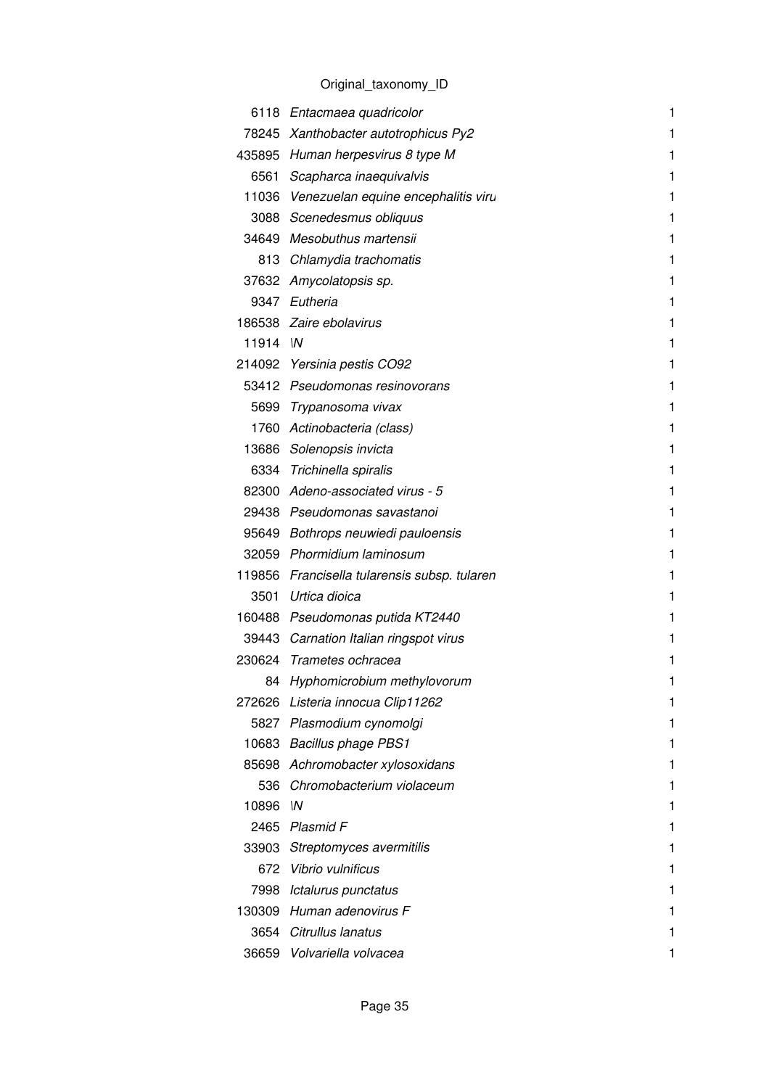|        | 6118 Entacmaea quadricolor                   | 1 |
|--------|----------------------------------------------|---|
|        | 78245 Xanthobacter autotrophicus Py2         | 1 |
|        | 435895 Human herpesvirus 8 type M            | 1 |
|        | 6561 Scapharca inaequivalvis                 | 1 |
|        | 11036 Venezuelan equine encephalitis viru    | 1 |
|        | 3088 Scenedesmus obliquus                    | 1 |
| 34649  | Mesobuthus martensii                         | 1 |
| 813    | Chlamydia trachomatis                        | 1 |
| 37632  | Amycolatopsis sp.                            | 1 |
| 9347   | Eutheria                                     | 1 |
|        | 186538 Zaire ebolavirus                      | 1 |
| 11914  | $\mathsf{M}$                                 | 1 |
|        | 214092 Yersinia pestis CO92                  | 1 |
|        | 53412 Pseudomonas resinovorans               | 1 |
|        | 5699 Trypanosoma vivax                       | 1 |
| 1760   | Actinobacteria (class)                       | 1 |
|        | 13686 Solenopsis invicta                     | 1 |
|        | 6334 Trichinella spiralis                    | 1 |
|        | 82300 Adeno-associated virus - 5             | 1 |
|        | 29438 Pseudomonas savastanoi                 | 1 |
|        | 95649 Bothrops neuwiedi pauloensis           | 1 |
|        | 32059 Phormidium laminosum                   | 1 |
|        | 119856 Francisella tularensis subsp. tularen | 1 |
|        | 3501 Urtica dioica                           | 1 |
|        | 160488 Pseudomonas putida KT2440             | 1 |
|        | 39443 Carnation Italian ringspot virus       | 1 |
|        | 230624 Trametes ochracea                     | 1 |
|        | 84 Hyphomicrobium methylovorum               |   |
| 272626 | Listeria innocua Clip11262                   | 1 |
| 5827   | Plasmodium cynomolgi                         |   |
| 10683  | Bacillus phage PBS1                          | 1 |
| 85698  | Achromobacter xylosoxidans                   | 1 |
| 536    | Chromobacterium violaceum                    |   |
| 10896  | W                                            | 1 |
| 2465   | Plasmid F                                    | 1 |
| 33903  | Streptomyces avermitilis                     |   |
| 672    | Vibrio vulnificus                            | 1 |
| 7998   | Ictalurus punctatus                          |   |
| 130309 | Human adenovirus F                           | 1 |
| 3654   | Citrullus lanatus                            |   |
|        | 36659 Volvariella volvacea                   | 1 |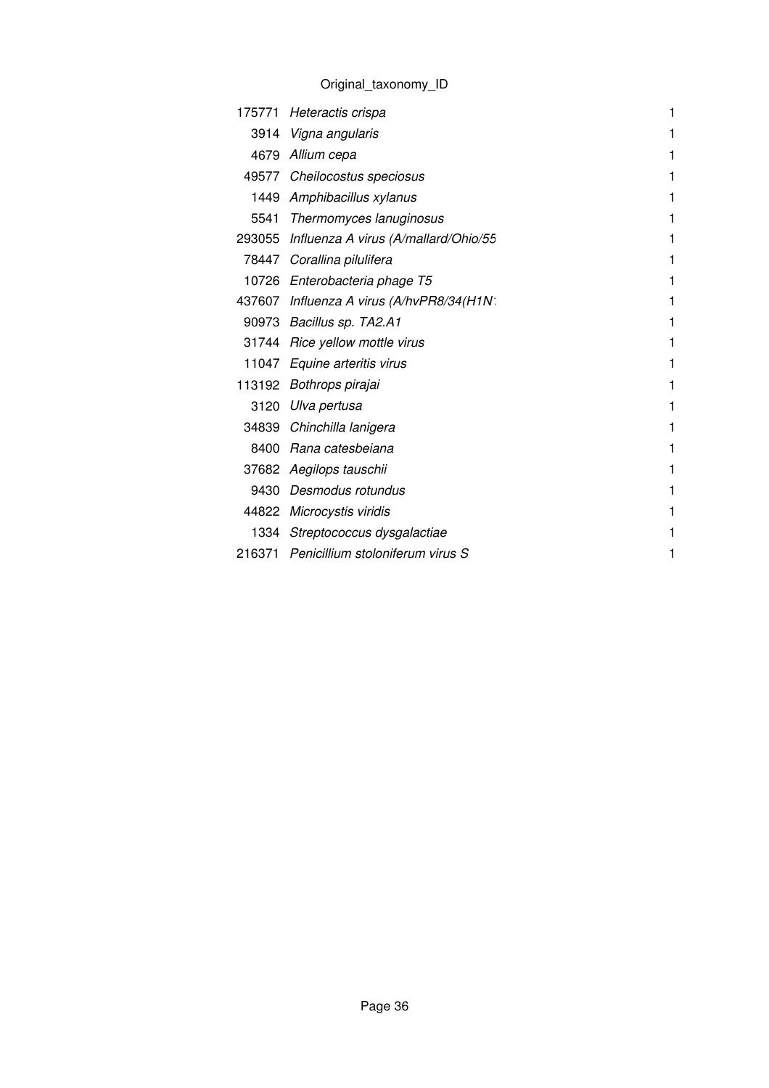| 175771 | Heteractis crispa                    | 1 |
|--------|--------------------------------------|---|
| 3914   | Vigna angularis                      | 1 |
| 4679   | Allium cepa                          | 1 |
| 49577  | Cheilocostus speciosus               | 1 |
| 1449   | Amphibacillus xylanus                | 1 |
| 5541   | Thermomyces lanuginosus              | 1 |
| 293055 | Influenza A virus (A/mallard/Ohio/55 | 1 |
|        | 78447 Corallina pilulifera           | 1 |
|        | 10726 Enterobacteria phage T5        | 1 |
| 437607 | Influenza A virus (A/hvPR8/34(H1N:   | 1 |
| 90973  | Bacillus sp. TA2.A1                  | 1 |
|        | 31744 Rice yellow mottle virus       | 1 |
| 11047  | Equine arteritis virus               | 1 |
| 113192 | Bothrops pirajai                     | 1 |
| 3120   | Ulva pertusa                         | 1 |
| 34839  | Chinchilla lanigera                  | 1 |
| 8400   | Rana catesbeiana                     | 1 |
| 37682  | Aegilops tauschii                    | 1 |
| 9430   | Desmodus rotundus                    | 1 |
| 44822  | Microcystis viridis                  | 1 |
| 1334   | Streptococcus dysgalactiae           | 1 |
| 216371 | Penicillium stoloniferum virus S     | 1 |